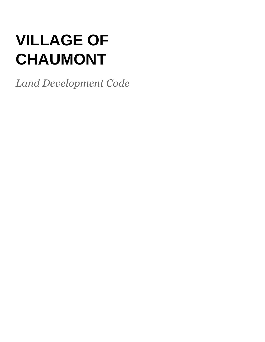# **VILLAGE OF CHAUMONT**

*Land Development Code*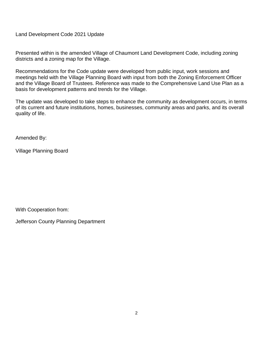Land Development Code 2021 Update

Presented within is the amended Village of Chaumont Land Development Code, including zoning districts and a zoning map for the Village.

Recommendations for the Code update were developed from public input, work sessions and meetings held with the Village Planning Board with input from both the Zoning Enforcement Officer and the Village Board of Trustees. Reference was made to the Comprehensive Land Use Plan as a basis for development patterns and trends for the Village.

The update was developed to take steps to enhance the community as development occurs, in terms of its current and future institutions, homes, businesses, community areas and parks, and its overall quality of life.

Amended By:

Village Planning Board

With Cooperation from:

Jefferson County Planning Department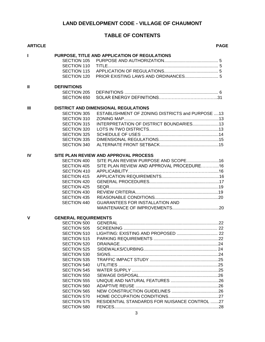# **LAND DEVELOPMENT CODE - VILLAGE OF CHAUMONT**

# **TABLE OF CONTENTS**

| <b>ARTICLE</b> |                             |                                                  | <b>PAGE</b> |
|----------------|-----------------------------|--------------------------------------------------|-------------|
| Т              |                             | PURPOSE, TITLE AND APPLICATION OF REGULATIONS    |             |
|                | <b>SECTION 105</b>          |                                                  |             |
|                | <b>SECTION 110</b>          |                                                  |             |
|                | <b>SECTION 115</b>          |                                                  |             |
|                | SECTION 120                 |                                                  |             |
| $\mathbf{u}$   | <b>DEFINITIONS</b>          |                                                  |             |
|                | SECTION 205                 |                                                  |             |
|                | SECTION 650                 |                                                  |             |
| III            |                             | <b>DISTRICT AND DIMENSIONAL REGULATIONS</b>      |             |
|                | <b>SECTION 305</b>          | ESTABLISHMENT OF ZONING DISTRICTS and PURPOSE 13 |             |
|                | SECTION 310                 |                                                  |             |
|                | <b>SECTION 315</b>          | INTERPRETATION OF DISTRICT BOUNDARIES13          |             |
|                | SECTION 320                 |                                                  |             |
|                | SECTION 325                 |                                                  |             |
|                | SECTION 335                 |                                                  |             |
|                | SECTION 340                 |                                                  |             |
|                |                             |                                                  |             |
| IV             |                             | SITE PLAN REVIEW AND APPROVAL PROCESS            |             |
|                | SECTION 400                 |                                                  |             |
|                | <b>SECTION 405</b>          | SITE PLAN REVIEW AND APPROVAL PROCEDURE16        |             |
|                | SECTION 410                 |                                                  |             |
|                | <b>SECTION 415</b>          |                                                  |             |
|                | SECTION 420                 |                                                  |             |
|                | SECTION 425                 |                                                  |             |
|                | SECTION 430                 |                                                  |             |
|                | <b>SECTION 435</b>          |                                                  |             |
|                | SECTION 440                 | GUARANTEES FOR INSTALLATION AND                  |             |
|                |                             |                                                  |             |
| $\mathbf{V}$   | <b>GENERAL REQUIREMENTS</b> |                                                  |             |
|                | SECTION 500                 |                                                  |             |
|                | <b>SECTION 505</b>          |                                                  |             |
|                |                             |                                                  |             |
|                | <b>SECTION 515</b>          |                                                  |             |
|                | <b>SECTION 520</b>          |                                                  |             |
|                | SECTION 525                 |                                                  |             |
|                | <b>SECTION 530</b>          |                                                  |             |
|                | <b>SECTION 535</b>          |                                                  |             |
|                | SECTION 540                 |                                                  |             |
|                | <b>SECTION 545</b>          |                                                  |             |
|                | <b>SECTION 550</b>          |                                                  |             |
|                | <b>SECTION 555</b>          |                                                  |             |
|                | SECTION 560                 |                                                  |             |
|                | <b>SECTION 565</b>          |                                                  |             |
|                | <b>SECTION 570</b>          |                                                  |             |
|                | <b>SECTION 575</b>          | RESIDENTIAL STANDARDS FOR NUISANCE CONTROL 27    |             |
|                |                             |                                                  |             |
|                | SECTION 580                 |                                                  |             |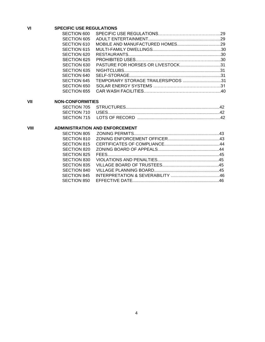# **VI SPECIFIC USE REGULATIONS**

| SECTION 600 |                                    |  |
|-------------|------------------------------------|--|
| SECTION 605 |                                    |  |
| SECTION 610 |                                    |  |
| SECTION 615 |                                    |  |
|             |                                    |  |
| SECTION 625 |                                    |  |
| SECTION 630 |                                    |  |
| SECTION 635 |                                    |  |
| SECTION 640 |                                    |  |
| SECTION 645 | TEMPORARY STORAGE TRAILERS/PODS 31 |  |
| SECTION 650 |                                    |  |
|             |                                    |  |

# **VII NON-CONFORMITIES**

# **VIII ADMINISTRATION AND ENFORCEMENT**

| SECTION 810 |  |
|-------------|--|
| SECTION 815 |  |
| SECTION 820 |  |
| SECTION 825 |  |
| SECTION 830 |  |
| SECTION 835 |  |
| SECTION 840 |  |
| SECTION 845 |  |
|             |  |
|             |  |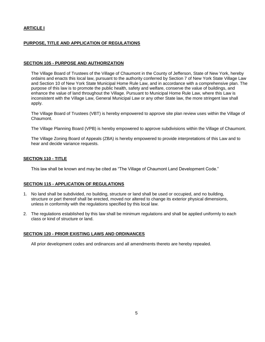# **ARTICLE I**

## **PURPOSE, TITLE AND APPLICATION OF REGULATIONS**

#### **SECTION 105 - PURPOSE AND AUTHORIZATION**

The Village Board of Trustees of the Village of Chaumont in the County of Jefferson, State of New York, hereby ordains and enacts this local law, pursuant to the authority conferred by Section 7 of New York State Village Law and Section 10 of New York State Municipal Home Rule Law, and in accordance with a comprehensive plan. The purpose of this law is to promote the public health, safety and welfare, conserve the value of buildings, and enhance the value of land throughout the Village. Pursuant to Municipal Home Rule Law, where this Law is inconsistent with the Village Law, General Municipal Law or any other State law, the more stringent law shall apply.

The Village Board of Trustees (VBT) is hereby empowered to approve site plan review uses within the Village of Chaumont.

The Village Planning Board (VPB) is hereby empowered to approve subdivisions within the Village of Chaumont.

The Village Zoning Board of Appeals (ZBA) is hereby empowered to provide interpretations of this Law and to hear and decide variance requests.

#### **SECTION 110 - TITLE**

This law shall be known and may be cited as "The Village of Chaumont Land Development Code."

#### **SECTION 115 - APPLICATION OF REGULATIONS**

- 1. No land shall be subdivided, no building, structure or land shall be used or occupied, and no building, structure or part thereof shall be erected, moved nor altered to change its exterior physical dimensions, unless in conformity with the regulations specified by this local law.
- 2. The regulations established by this law shall be minimum regulations and shall be applied uniformly to each class or kind of structure or land.

#### **SECTION 120 - PRIOR EXISTING LAWS AND ORDINANCES**

All prior development codes and ordinances and all amendments thereto are hereby repealed.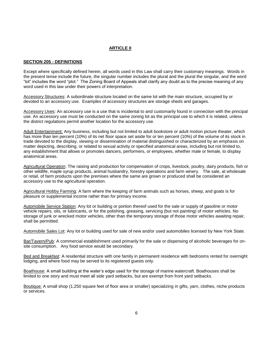# **ARTICLE II**

#### **SECTION 205 - DEFINITIONS**

Except where specifically defined herein, all words used in this Law shall carry their customary meanings. Words in the present tense include the future, the singular number includes the plural and the plural the singular, and the word "lot" includes the word "plot." The Zoning Board of Appeals shall clarify any doubt as to the precise meaning of any word used in this law under their powers of interpretation.

Accessory Structures: A subordinate structure located on the same lot with the main structure, occupied by or devoted to an accessory use. Examples of accessory structures are storage sheds and garages.

Accessory Uses: An accessory use is a use that is incidental to and customarily found in connection with the principal use. An accessory use must be conducted on the same zoning lot as the principal use to which it is related, unless the district regulations permit another location for the accessory use.

Adult Entertainment: Any business, including but not limited to adult bookstore or adult motion picture theater, which has more than ten percent (10%) of its net floor space set aside for or ten percent (10%) of the volume of its stock in trade devoted to the display, viewing or dissemination of material distinguished or characterized by an emphasis on matter depicting, describing, or related to sexual activity or specified anatomical areas, including but not limited to, any establishment that allows or promotes dancers, performers, or employees, whether male or female, to display anatomical areas.

Agricultural Operation: The raising and production for compensation of crops, livestock, poultry, dairy products, fish or other wildlife, maple syrup products, animal husbandry, forestry operations and farm winery. The sale, at wholesale or retail, of farm products upon the premises where the same are grown or produced shall be considered an accessory use to the agricultural operation.

Agricultural Hobby Farming: A farm where the keeping of farm animals such as horses, sheep, and goats is for pleasure or supplemental income rather than for primary income.

Automobile Service Station: Any lot or building or portion thereof used for the sale or supply of gasoline or motor vehicle repairs*,* oils, or lubricants, or for the polishing, greasing, servicing (but not painting) of motor vehicles. No storage of junk or wrecked motor vehicles, other than the temporary storage of those motor vehicles awaiting repair, shall be permitted.

Automobile Sales Lot: Any lot or building used for sale of new and/or used automobiles licensed by New York State.

Bar/Tavern/Pub: A commercial establishment used primarily for the sale or dispensing of alcoholic beverages for onsite consumption. Any food service would be secondary.

Bed and Breakfast: A residential structure with one family in permanent residence with bedrooms rented for overnight lodging, and where food may be served to its registered guests only.

Boathouse: A small building at the water's edge used for the storage of marine watercraft. Boathouses shall be limited to one story and must meet all side yard setbacks, but are exempt from front yard setbacks.

Boutique: A small shop (1,250 square feet of floor area or smaller) specializing in gifts, yarn, clothes, niche products or services.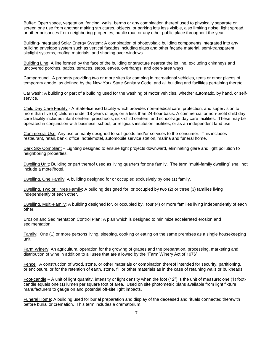Buffer: Open space, vegetation, fencing, walls, berms or any combination thereof used to physically separate or screen one use from another making structures, objects, or parking lots less visible, also limiting noise, light spread, or other nuisances from neighboring properties, public road or any other public place throughout the year.

Building-Integrated Solar Energy System: A combination of photovoltaic building components integrated into any building envelope system such as vertical facades including glass and other façade material, semi-transparent skylight systems, roofing materials, and shading over windows.

Building Line: A line formed by the face of the building or structure nearest the lot line, excluding chimneys and uncovered porches, patios, terraces, steps, eaves, overhangs, and open-area ways.

Campground: A property providing two or more sites for camping in recreational vehicles, tents or other places of temporary abode, as defined by the New York State Sanitary Code, and all building and facilities pertaining thereto.

Car wash: A building or part of a building used for the washing of motor vehicles, whether automatic, by hand, or selfservice.

Child Day Care Facility - A State-licensed facility which provides non-medical care, protection, and supervision to more than five (5) children under 18 years of age, on a less than 24-hour basis. A commercial or non-profit child day care facility includes infant centers, preschools, sick-child centers, and school-age day care facilities. These may be operated in conjunction with business, school, or religious institution facilities, or as an independent land use.

Commercial Use: Any use primarily designed to sell goods and/or services to the consumer. This includes restaurant, retail, bank, office, hotel/motel, automobile service station, marina and funeral home.

Dark Sky Compliant – Lighting designed to ensure light projects downward, eliminating glare and light pollution to neighboring properties.

Dwelling Unit: Building or part thereof used as living quarters for one family. The term "multi-family dwelling" shall not include a motel/hotel.

Dwelling, One Family: A building designed for or occupied exclusively by one (1) family.

Dwelling, Two or Three Family: A building designed for, or occupied by two (2) or three (3) families living independently of each other.

Dwelling, Multi-Family: A building designed for, or occupied by, four (4) or more families living independently of each other.

Erosion and Sedimentation Control Plan: A plan which is designed to minimize accelerated erosion and sedimentation.

Family: One (1) or more persons living, sleeping, cooking or eating on the same premises as a single housekeeping unit.

Farm Winery: An agricultural operation for the growing of grapes and the preparation, processing, marketing and distribution of wine in addition to all uses that are allowed by the "Farm Winery Act of 1976".

Fence: A construction of wood, stone, or other materials or combination thereof intended for security, partitioning, or enclosure, or for the retention of earth, stone, fill or other materials as in the case of retaining walls or bulkheads.

Foot-candle – A unit of light quantity, intensity or light density when the foot (12") is the unit of measure; one (1) footcandle equals one (1) lumen per square foot of area. Used on site photometric plans available from light fixture manufacturers to gauge on and potential off-site light impacts.

Funeral Home: A building used for burial preparation and display of the deceased and rituals connected therewith before burial or cremation. This term includes a crematorium.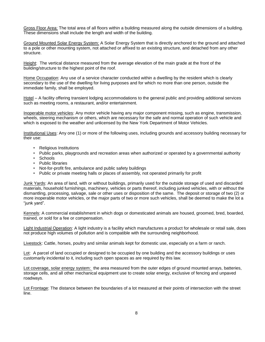Gross Floor Area: The total area of all floors within a building measured along the outside dimensions of a building. These dimensions shall include the length and width of the building.

Ground Mounted Solar Energy System: A Solar Energy System that is directly anchored to the ground and attached to a pole or other mounting system, not attached or affixed to an existing structure, and detached from any other structure.

Height: The vertical distance measured from the average elevation of the main grade at the front of the building/structure to the highest point of the roof.

Home Occupation: Any use of a service character conducted within a dwelling by the resident which is clearly secondary to the use of the dwelling for living purposes and for which no more than one person, outside the immediate family, shall be employed.

Hotel – A facility offering transient lodging accommodations to the general public and providing additional services such as meeting rooms, a restaurant, and/or entertainment.

Inoperable motor vehicles: Any motor vehicle having any major component missing, such as engine, transmission, wheels, steering mechanism or others, which are necessary for the safe and normal operation of such vehicle and which is exposed to the weather and unlicensed by the New York Department of Motor Vehicles.

Institutional Uses: Any one (1) or more of the following uses, including grounds and accessory building necessary for their use:

- Religious Institutions
- Public parks, playgrounds and recreation areas when authorized or operated by a governmental authority
- Schools
- Public libraries
- Not-for-profit fire, ambulance and public safety buildings
- Public or private meeting halls or places of assembly, not operated primarily for profit

Junk Yards: An area of land, with or without buildings, primarily used for the outside storage of used and discarded materials, household furnishings, machinery, vehicles or parts thereof, including junked vehicles, with or without the dismantling, processing, salvage, sale or other uses or disposition of the same. The deposit or storage of two (2) or more inoperable motor vehicles, or the major parts of two or more such vehicles, shall be deemed to make the lot a "junk yard".

Kennels: A commercial establishment in which dogs or domesticated animals are housed, groomed, bred, boarded, trained, or sold for a fee or compensation.

Light Industrial Operation: A light industry is a facility which manufactures a product for wholesale or retail sale, does not produce high volumes of pollution and is compatible with the surrounding neighborhood.

Livestock: Cattle, horses, poultry and similar animals kept for domestic use, especially on a farm or ranch.

Lot: A parcel of land occupied or designed to be occupied by one building and the accessory buildings or uses customarily incidental to it, including such open spaces as are required by this law.

Lot coverage, solar energy system: the area measured from the outer edges of ground mounted arrays, batteries, storage cells, and all other mechanical equipment use to create solar energy, exclusive of fencing and unpaved roadways.

Lot Frontage: The distance between the boundaries of a lot measured at their points of intersection with the street line.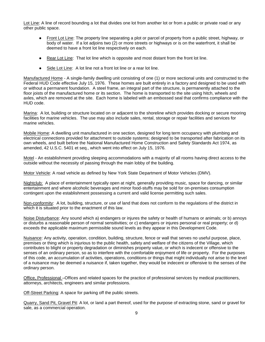Lot Line: A line of record bounding a lot that divides one lot from another lot or from a public or private road or any other public space.

- Front Lot Line: The property line separating a plot or parcel of property from a public street, highway, or body of water. If a lot adjoins two (2) or more streets or highways or is on the waterfront, it shall be deemed to have a front lot line respectively on each.
- Rear Lot Line: That lot line which is opposite and most distant from the front lot line.
- Side Lot Line: A lot line not a front lot line or a rear lot line.

Manufactured Home - A single-family dwelling unit consisting of one (1) or more sectional units and constructed to the Federal HUD Code effective July 15, 1976. These homes are built entirely in a factory and designed to be used with or without a permanent foundation. A steel frame, an integral part of the structure, is permanently attached to the floor joists of the manufactured home or its section. The home is transported to the site using hitch, wheels and axles, which are removed at the site. Each home is labeled with an embossed seal that confirms compliance with the HUD code.

Marina: A lot, building or structure located on or adjacent to the shoreline which provides docking or secure mooring facilities for marine vehicles. The use may also include sales, rental, storage or repair facilities and services for marine vehicles.

Mobile Home: A dwelling unit manufactured in one section, designed for long term occupancy with plumbing and electrical connections provided for attachment to outside systems; designed to be transported after fabrication on its own wheels, and built before the National Manufactured Home Construction and Safety Standards Act 1974, as amended, 42 U.S.C. 5401 et seq., which went into effect on July 15, 1976.

Motel - An establishment providing sleeping accommodations with a majority of all rooms having direct access to the outside without the necessity of passing through the main lobby of the building.

Motor Vehicle: A road vehicle as defined by New York State Department of Motor Vehicles (DMV).

Nightclub: A place of entertainment typically open at night, generally providing music, space for dancing, or similar entertainment and where alcoholic beverages and minor food-stuffs may be sold for on-premises consumption contingent upon the establishment possessing a current and valid license permitting such sales.

Non-conformity: A lot, building, structure, or use of land that does not conform to the regulations of the district in which it is situated prior to the enactment of this law.

Noise Disturbance: Any sound which a) endangers or injures the safety or health of humans or animals; or b) annoys or disturbs a reasonable person of normal sensitivities; or c) endangers or injures personal or real property; or d) exceeds the applicable maximum permissible sound levels as they appear in this Development Code.

Nuisance: Any activity, operation, condition, building, structure, fence or wall that serves no useful purpose, place, premises or thing which is injurious to the public health, safety and welfare of the citizens of the Village, which contributes to blight or property degradation or diminishes property value, or which is indecent or offensive to the senses of an ordinary person, so as to interfere with the comfortable enjoyment of life or property. For the purposes of this code, an accumulation of activities, operations, conditions or things that might individually not arise to the level of a nuisance may be deemed a nuisance if, taken together, they would be indecent or offensive to the senses of the ordinary person.

Office, Professional –Offices and related spaces for the practice of professional services by medical practitioners, attorneys, architects, engineers and similar professions.

Off-Street Parking: A space for parking off the public streets.

Quarry, Sand Pit, Gravel Pit: A lot, or land a part thereof, used for the purpose of extracting stone, sand or gravel for sale, as a commercial operation.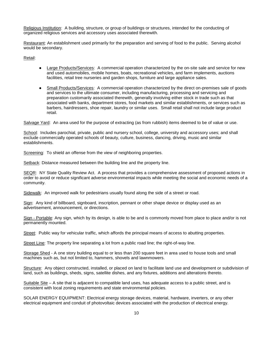Religious Institution: A building, structure, or group of buildings or structures, intended for the conducting of organized religious services and accessory uses associated therewith.

Restaurant: An establishment used primarily for the preparation and serving of food to the public. Serving alcohol would be secondary.

Retail:

- Large Products/Services: A commercial operation characterized by the on-site sale and service for new and used automobiles, mobile homes, boats, recreational vehicles, and farm implements, auctions facilities, retail tree nurseries and garden shops, furniture and large appliance sales.
- Small Products/Services: A commercial operation characterized by the direct on-premises sale of goods and services to the ultimate consumer, including manufacturing, processing and servicing and preparation customarily associated therewith, generally involving either stock in trade such as that associated with banks, department stores, food markets and similar establishments, or services such as barbers, hairdressers, shoe repair, laundry or similar uses. Small retail shall not include large product retail.

Salvage Yard: An area used for the purpose of extracting (as from rubbish) items deemed to be of value or use.

School: Includes parochial, private, public and nursery school, college, university and accessory uses; and shall exclude commercially operated schools of beauty, culture, business, dancing, driving, music and similar establishments.

Screening: To shield an offense from the view of neighboring properties.

Setback: Distance measured between the building line and the property line.

SEQR: NY State Quality Review Act. A process that provides a comprehensive assessment of proposed actions in order to avoid or reduce significant adverse environmental impacts while meeting the social and economic needs of a community.

Sidewalk: An improved walk for pedestrians usually found along the side of a street or road.

Sign: Any kind of billboard, signboard, inscription, pennant or other shape device or display used as an advertisement, announcement, or directions.

Sign - Portable: Any sign, which by its design, is able to be and is commonly moved from place to place and/or is not permanently mounted.

Street: Public way for vehicular traffic, which affords the principal means of access to abutting properties.

Street Line: The property line separating a lot from a public road line; the right-of-way line.

Storage Shed - A one story building equal to or less than 200 square feet in area used to house tools and small machines such as, but not limited to, hammers, shovels and lawnmowers.

Structure: Any object constructed, installed, or placed on land to facilitate land use and development or subdivision of land, such as buildings, sheds, signs, satellite dishes, and any fixtures, additions and alterations thereto.

Suitable Site – A site that is adjacent to compatible land uses, has adequate access to a public street, and is consistent with local zoning requirements and state environmental policies.

SOLAR ENERGY EQUIPMENT: Electrical energy storage devices, material, hardware, inverters, or any other electrical equipment and conduit of photovoltaic devices associated with the production of electrical energy.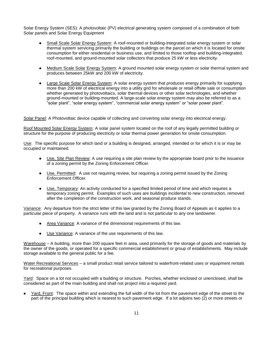Solar Energy System (SES): A photovoltaic (PV) electrical generating system composed of a combination of both Solar panels and Solar Energy Equipment

- Small Scale Solar Energy System: A roof-mounted or building-integrated solar energy system or solar thermal system servicing primarily the building or buildings on the parcel on which it is located for onsite consumption for either residential or business use, and limited to those rooftop and building-integrated, roof-mounted, and ground-mounted solar collectors that produce 25 kW or less electricity.
- Medium Scale Solar Energy System: A ground mounted solar energy system or solar thermal system and produces between 25kW and 200 kW of electricity.
- Large Scale Solar Energy System: A solar energy system that produces energy primarily for supplying more than 200 kW of electrical energy into a utility grid for wholesale or retail offsite sale or consumption whether generated by photovoltaics, solar thermal devices or other solar technologies, and whether ground-mounted or building-mounted. A large-scale solar energy system may also be referred to as a "solar plant", "solar energy system", "commercial solar energy system" or "solar power plant".

Solar Panel: A Photovoltaic device capable of collecting and converting solar energy into electrical energy.

Roof Mounted Solar Energy System: A solar panel system located on the roof of any legally permitted building or structure for the purpose of producing electricity or solar thermal power generation for onsite consumption.

Use: The specific purpose for which land or a building is designed, arranged, intended or for which it is or may be occupied or maintained.

- Use, Site Plan Review: A use requiring a site plan review by the appropriate board prior to the issuance of a zoning permit by the Zoning Enforcement Officer.
- Use, Permitted: A use not requiring review, but requiring a zoning permit issued by the Zoning Enforcement Officer.
- Use, Temporary: An activity conducted for a specified limited period of time and which requires a temporary zoning permit. Examples of such uses are buildings incidental to new construction, removed after the completion of the construction work, and seasonal produce stands.

Variance: Any departure from the strict letter of this law granted by the Zoning Board of Appeals as it applies to a particular piece of property. A variance runs with the land and is not particular to any one landowner.

- Area Variance: A variance of the dimensional requirements of this law.
- Use Variance: A variance of the use requirements of this law.

Warehouse – A building, more than 200 square feet in area, used primarily for the storage of goods and materials by the owner of the goods, or operated for a specific commercial establishment or group of establishments. May include storage available to the general public for a fee.

Water Recreational Services – a small product retail service tailored to waterfront-related uses or equipment rentals for recreational purposes.

Yard: Space on a lot not occupied with a building or structure. Porches, whether enclosed or unenclosed, shall be considered as part of the main building and shall not project into a required yard.

Yard, Front: The space within and extending the full width of the lot from the pavement edge of the street to the part of the principal building which is nearest to such pavement edge. If a lot adjoins two (2) or more streets or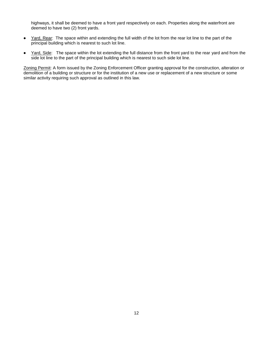highways, it shall be deemed to have a front yard respectively on each. Properties along the waterfront are deemed to have two (2) front yards.

- Yard, Rear: The space within and extending the full width of the lot from the rear lot line to the part of the principal building which is nearest to such lot line.
- Yard, Side: The space within the lot extending the full distance from the front yard to the rear yard and from the side lot line to the part of the principal building which is nearest to such side lot line.

Zoning Permit: A form issued by the Zoning Enforcement Officer granting approval for the construction, alteration or demolition of a building or structure or for the institution of a new use or replacement of a new structure or some similar activity requiring such approval as outlined in this law.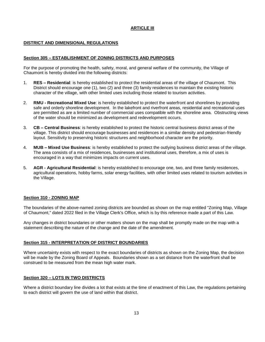# **ARTICLE III**

# **DISTRICT AND DIMENSIONAL REGULATIONS**

#### **Section 305 – ESTABLISHMENT OF ZONING DISTRICTS AND PURPOSES**

For the purpose of promoting the health, safety, moral, and general welfare of the community, the Village of Chaumont is hereby divided into the following districts:

- 1. **RES – Residential**: is hereby established to protect the residential areas of the village of Chaumont. This District should encourage one (1), two (2) and three (3) family residences to maintain the existing historic character of the village, with other limited uses including those related to tourism activities.
- 2. **RMU - Recreational Mixed Use**: is hereby established to protect the waterfront and shorelines by providing safe and orderly shoreline development. In the lakefront and riverfront areas, residential and recreational uses are permitted as are a limited number of commercial uses compatible with the shoreline area. Obstructing views of the water should be minimized as development and redevelopment occurs.
- 3. **CB – Central Business**: is hereby established to protect the historic central business district areas of the village. This district should encourage businesses and residences in a similar density and pedestrian-friendly layout. Sensitivity to preserving historic structures and neighborhood character are the priority.
- 4. **MUB – Mixed Use Business**: is hereby established to protect the outlying business district areas of the village. The area consists of a mix of residences, businesses and institutional uses, therefore, a mix of uses is encouraged in a way that minimizes impacts on current uses.
- 5. **AGR - Agricultural Residential**: is hereby established to encourage one, two, and three family residences, agricultural operations, hobby farms, solar energy facilities, with other limited uses related to tourism activities in the Village.

#### **Section 310 - ZONING MAP**

The boundaries of the above-named zoning districts are bounded as shown on the map entitled "Zoning Map, Village of Chaumont," dated 2022 filed in the Village Clerk's Office, which is by this reference made a part of this Law.

Any changes in district boundaries or other matters shown on the map shall be promptly made on the map with a statement describing the nature of the change and the date of the amendment.

#### **Section 315 - INTERPRETATION OF DISTRICT BOUNDARIES**

Where uncertainty exists with respect to the exact boundaries of districts as shown on the Zoning Map, the decision will be made by the Zoning Board of Appeals. Boundaries shown as a set distance from the waterfront shall be construed to be measured from the mean high water mark.

#### **Section 320 – LOTS IN TWO DISTRICTS**

Where a district boundary line divides a lot that exists at the time of enactment of this Law, the regulations pertaining to each district will govern the use of land within that district.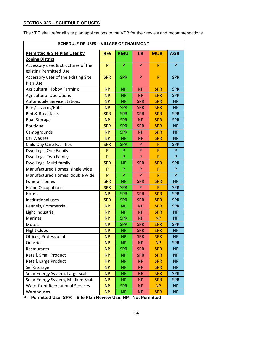## **SECTION 325 – SCHEDULE OF USES**

The VBT shall refer all site plan applications to the VPB for their review and recommendations.

| <b>SCHEDULE OF USES - VILLAGE OF CHAUMONT</b> |            |            |              |              |              |  |
|-----------------------------------------------|------------|------------|--------------|--------------|--------------|--|
| <b>Permitted &amp; Site Plan Uses by</b>      | <b>RES</b> | <b>RMU</b> | CB           | <b>MUB</b>   | <b>AGR</b>   |  |
| <b>Zoning District</b>                        |            |            |              |              |              |  |
| Accessory uses & structures of the            | P          | P          | P            | P            | $\mathsf{P}$ |  |
| existing Permitted Use                        |            |            |              |              |              |  |
| Accessory uses of the existing Site           | <b>SPR</b> | <b>SPR</b> | P            | P            | <b>SPR</b>   |  |
| Plan Use                                      |            |            |              |              |              |  |
| <b>Agricultural Hobby Farming</b>             | <b>NP</b>  | <b>NP</b>  | <b>NP</b>    | <b>SPR</b>   | <b>SPR</b>   |  |
| <b>Agricultural Operations</b>                | <b>NP</b>  | <b>NP</b>  | <b>NP</b>    | <b>SPR</b>   | <b>SPR</b>   |  |
| <b>Automobile Service Stations</b>            | <b>NP</b>  | <b>NP</b>  | <b>SPR</b>   | <b>SPR</b>   | <b>NP</b>    |  |
| Bars/Taverns/Pubs                             | <b>NP</b>  | <b>SPR</b> | <b>SPR</b>   | <b>SPR</b>   | <b>NP</b>    |  |
| <b>Bed &amp; Breakfasts</b>                   | <b>SPR</b> | <b>SPR</b> | <b>SPR</b>   | <b>SPR</b>   | <b>SPR</b>   |  |
| <b>Boat Storage</b>                           | <b>NP</b>  | <b>SPR</b> | <b>NP</b>    | <b>SPR</b>   | <b>SPR</b>   |  |
| Boutique                                      | <b>SPR</b> | <b>SPR</b> | <b>SPR</b>   | <b>SPR</b>   | <b>NP</b>    |  |
| Campgrounds                                   | <b>NP</b>  | <b>SPR</b> | <b>NP</b>    | <b>SPR</b>   | <b>NP</b>    |  |
| Car Washes                                    | <b>NP</b>  | <b>NP</b>  | <b>NP</b>    | <b>SPR</b>   | <b>NP</b>    |  |
| <b>Child Day Care Facilities</b>              | <b>SPR</b> | <b>SPR</b> | P            | P            | <b>SPR</b>   |  |
| Dwellings, One Family                         | P          | P          | P            | P            | P            |  |
| Dwellings, Two Family                         | P          | P          | P            | P            | P            |  |
| Dwellings, Multi-family                       | <b>SPR</b> | <b>NP</b>  | <b>SPR</b>   | <b>SPR</b>   | <b>SPR</b>   |  |
| Manufactured Homes, single wide               | P          | ${\sf P}$  | $\mathsf{P}$ | P            | $\mathsf{P}$ |  |
| Manufactured Homes, double wide               | P          | P          | P            | P            | P            |  |
| <b>Funeral Homes</b>                          | <b>SPR</b> | <b>NP</b>  | <b>SPR</b>   | <b>SPR</b>   | <b>NP</b>    |  |
| Home Occupations                              | <b>SPR</b> | <b>SPR</b> | P            | $\mathsf{P}$ | <b>SPR</b>   |  |
| Hotels                                        | <b>NP</b>  | <b>SPR</b> | <b>SPR</b>   | <b>SPR</b>   | <b>SPR</b>   |  |
| Institutional uses                            | <b>SPR</b> | <b>SPR</b> | <b>SPR</b>   | <b>SPR</b>   | <b>SPR</b>   |  |
| Kennels, Commercial                           | <b>NP</b>  | <b>NP</b>  | <b>NP</b>    | <b>SPR</b>   | <b>SPR</b>   |  |
| Light Industrial                              | <b>NP</b>  | <b>NP</b>  | <b>NP</b>    | <b>SPR</b>   | <b>NP</b>    |  |
| <b>Marinas</b>                                | <b>NP</b>  | <b>SPR</b> | <b>NP</b>    | <b>NP</b>    | <b>NP</b>    |  |
| Motels                                        | <b>NP</b>  | <b>SPR</b> | <b>SPR</b>   | <b>SPR</b>   | <b>SPR</b>   |  |
| <b>Night Clubs</b>                            | <b>NP</b>  | <b>NP</b>  | <b>SPR</b>   | <b>SPR</b>   | <b>NP</b>    |  |
| Offices, Professional                         | <b>NP</b>  | <b>NP</b>  | <b>SPR</b>   | <b>SPR</b>   | <b>NP</b>    |  |
| Quarries                                      | <b>NP</b>  | <b>NP</b>  | <b>NP</b>    | <b>NP</b>    | <b>SPR</b>   |  |
| Restaurants                                   | <b>NP</b>  | <b>SPR</b> | <b>SPR</b>   | <b>SPR</b>   | <b>NP</b>    |  |
| Retail, Small Product                         | <b>NP</b>  | <b>NP</b>  | <b>SPR</b>   | <b>SPR</b>   | <b>NP</b>    |  |
| Retail, Large Product                         | <b>NP</b>  | <b>NP</b>  | <b>NP</b>    | <b>SPR</b>   | <b>NP</b>    |  |
| Self-Storage                                  | <b>NP</b>  | <b>NP</b>  | <b>NP</b>    | <b>SPR</b>   | <b>NP</b>    |  |
| Solar Energy System, Large Scale              | <b>NP</b>  | <b>NP</b>  | <b>NP</b>    | <b>SPR</b>   | <b>SPR</b>   |  |
| Solar Energy System, Medium Scale             | <b>NP</b>  | <b>NP</b>  | <b>NP</b>    | <b>SPR</b>   | <b>SPR</b>   |  |
| <b>Waterfront Recreational Services</b>       | <b>NP</b>  | <b>SPR</b> | <b>NP</b>    | <b>NP</b>    | <b>NP</b>    |  |
| Warehouses                                    | <b>NP</b>  | <b>NP</b>  | <b>NP</b>    | <b>SPR</b>   | <b>NP</b>    |  |

**P = Permitted Use; SPR = Site Plan Review Use; NP= Not Permitted**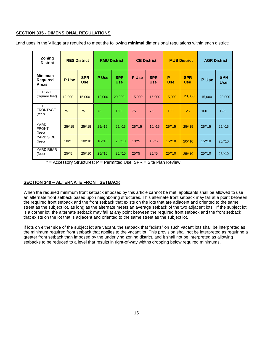## **SECTION 335 - DIMENSIONAL REGULATIONS**

Land uses in the Village are required to meet the following **minimal** dimensional regulations within each district:

| Zoning<br><b>District</b>                         |          | <b>RES District</b><br><b>RMU District</b> |         |                          | <b>CB District</b> |                          | <b>MUB District</b> |                          | <b>AGR District</b> |                          |
|---------------------------------------------------|----------|--------------------------------------------|---------|--------------------------|--------------------|--------------------------|---------------------|--------------------------|---------------------|--------------------------|
| <b>Minimum</b><br><b>Required</b><br><b>Areas</b> | P Use    | <b>SPR</b><br><b>Use</b>                   | P Use   | <b>SPR</b><br><b>Use</b> | P Use              | <b>SPR</b><br><b>Use</b> | P<br><b>Use</b>     | <b>SPR</b><br><b>Use</b> | P Use               | <b>SPR</b><br><b>Use</b> |
| LOT SIZE<br>(Square feet)                         | 12,000   | 15,000                                     | 12,000  | 20,000                   | 15,000             | 15,000                   | 15,000              | 20,000                   | 15,000              | 20,000                   |
| <b>LOT</b><br><b>FRONTAGE</b><br>(feet)           | 75       | 75                                         | 75      | 150                      | 75                 | 75                       | 100                 | 125                      | 100                 | 125                      |
| <b>YARD</b><br><b>FRONT</b><br>(feet)             | $25/*15$ | 25/15                                      | 25/15   | 25/15                    | 25/15              | $10*15$                  | 25/15               | 25/15                    | $25*15$             | $25/*15$                 |
| YARD SIDE<br>(feet)                               | $10*5$   | $10*10$                                    | $10*10$ | $20*10$                  | $10*5$             | $10*5$                   | 15/10               | 20/10                    | $15*10$             | $20*10$                  |
| YARD REAR<br>(feet)                               | 25/5     | $25/*10$                                   | 25/10   | 25/10                    | 25/5               | 25/5                     | 25/10               | 25/10                    | $25/*10$            | 25/10                    |

 $=$  Accessory Structures; P = Permitted Use; SPR = Site Plan Review

# **SECTION 340 – ALTERNATE FRONT SETBACK**

When the required minimum front setback imposed by this article cannot be met, applicants shall be allowed to use an alternate front setback based upon neighboring structures. This alternate front setback may fall at a point between the required front setback and the front setback that exists on the lots that are adjacent and oriented to the same street as the subject lot, as long as the alternate meets an average setback of the two adjacent lots. If the subject lot is a corner lot, the alternate setback may fall at any point between the required front setback and the front setback that exists on the lot that is adjacent and oriented to the same street as the subject lot.

If lots on either side of the subject lot are vacant, the setback that "exists" on such vacant lots shall be interpreted as the minimum required front setback that applies to the vacant lot. This provision shall not be interpreted as requiring a greater front setback than imposed by the underlying zoning district, and it shall not be interpreted as allowing setbacks to be reduced to a level that results in right-of-way widths dropping below required minimums.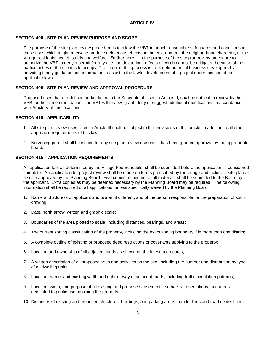# **ARTICLE IV**

# **SECTION 400 - SITE PLAN REVIEW PURPOSE AND SCOPE**

The purpose of the site plan review procedure is to allow the VBT to attach reasonable safeguards and conditions to those uses which might otherwise produce deleterious effects on the environment, the neighborhood character, or the Village residents' health, safety and welfare. Furthermore, it is the purpose of the site plan review procedure to authorize the VBT to deny a permit for any use, the deleterious effects of which cannot be mitigated because of the particularities of the site it is to occupy. The intent of this process is to benefit potential business developers by providing timely guidance and information to assist in the lawful development of a project under this and other applicable laws.

#### **SECTION 405 - SITE PLAN REVIEW AND APPROVAL PROCEDURE**

Proposed uses that are defined and/or listed in the Schedule of Uses in Article III, shall be subject to review by the VPB for their recommendation. The VBT will review, grant, deny or suggest additional modifications in accordance with Article V of this local law.

#### **SECTION 410 - APPLICABILITY**

- 1. All site plan review uses listed in Article III shall be subject to the provisions of this article, in addition to all other applicable requirements of this law.
- 2. No zoning permit shall be issued for any site plan review use until it has been granted approval by the appropriate board.

#### **SECTION 415 – APPLICATION REQUIREMENTS**

An application fee, as determined by the Village Fee Schedule, shall be submitted before the application is considered complete. An application for project review shall be made on forms prescribed by the village and include a site plan at a scale approved by the Planning Board. Five copies, minimum, of all materials shall be submitted to the Board by the applicant. Extra copies as may be deemed necessary by the Planning Board may be required. The following information shall be required of all applications, unless specifically waived by the Planning Board:

- 1. Name and address of applicant and owner, if different, and of the person responsible for the preparation of such drawing;
- 2. Date, north arrow, written and graphic scale;
- 3. Boundaries of the area plotted to scale, including distances, bearings, and areas;
- 4. The current zoning classification of the property, including the exact zoning boundary if in more than one district;
- 5. A complete outline of existing or proposed deed restrictions or covenants applying to the property;
- 6. Location and ownership of all adjacent lands as shown on the latest tax records;
- 7. A written description of all proposed uses and activities on the site, including the number and distribution by type of all dwelling units;
- 8. Location, name, and existing width and right-of-way of adjacent roads, including traffic circulation patterns;
- 9. Location, width, and purpose of all existing and proposed easements, setbacks, reservations, and areas dedicated to public use adjoining the property;
- 10. Distances of existing and proposed structures, buildings, and parking areas from lot lines and road center lines;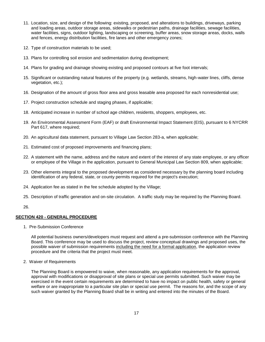- 11. Location, size, and design of the following: existing, proposed, and alterations to buildings, driveways, parking and loading areas, outdoor storage areas, sidewalks or pedestrian paths, drainage facilities, sewage facilities, water facilities, signs, outdoor lighting, landscaping or screening, buffer areas, snow storage areas, docks, walls and fences, energy distribution facilities, fire lanes and other emergency zones;
- 12. Type of construction materials to be used;
- 13. Plans for controlling soil erosion and sedimentation during development;
- 14. Plans for grading and drainage showing existing and proposed contours at five foot intervals;
- 15. Significant or outstanding natural features of the property (e.g. wetlands, streams, high-water lines, cliffs, dense vegetation, etc.);
- 16. Designation of the amount of gross floor area and gross leasable area proposed for each nonresidential use;
- 17. Project construction schedule and staging phases, if applicable;
- 18. Anticipated increase in number of school age children, residents, shoppers, employees, etc.
- 19. An Environmental Assessment Form (EAF) or draft Environmental Impact Statement (EIS), pursuant to 6 NYCRR Part 617, where required;
- 20. An agricultural data statement, pursuant to Village Law Section 283-a, when applicable;
- 21. Estimated cost of proposed improvements and financing plans;
- 22. A statement with the name, address and the nature and extent of the interest of any state employee, or any officer or employee of the Village in the application, pursuant to General Municipal Law Section 809, when applicable;
- 23. Other elements integral to the proposed development as considered necessary by the planning board including identification of any federal, state, or county permits required for the project's execution;
- 24. Application fee as stated in the fee schedule adopted by the Village;
- 25. Description of traffic generation and on-site circulation. A traffic study may be required by the Planning Board.

#### 26.

#### **SECTION 420 - GENERAL PROCEDURE**

1. Pre-Submission Conference

All potential business owners/developers must request and attend a pre-submission conference with the Planning Board. This conference may be used to discuss the project, review conceptual drawings and proposed uses, the possible waiver of submission requirements including the need for a formal application, the application review procedure and the criteria that the project must meet.

#### 2. Waiver of Requirements

The Planning Board is empowered to waive, when reasonable, any application requirements for the approval, approval with modifications or disapproval of site plans or special use permits submitted. Such waiver may be exercised in the event certain requirements are determined to have no impact on public health, safety or general welfare or are inappropriate to a particular site plan or special use permit. The reasons for, and the scope of any such waiver granted by the Planning Board shall be in writing and entered into the minutes of the Board.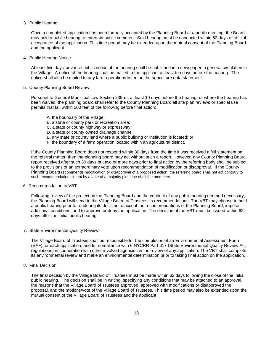#### 3. Public Hearing

Once a completed application has been formally accepted by the Planning Board at a public meeting, the Board may hold a public hearing to entertain public comment. Said hearing must be conducted within 62 days of official acceptance of the application. This time period may be extended upon the mutual consent of the Planning Board and the applicant.

4. Public Hearing Notice

At least five days' advance public notice of the hearing shall be published in a newspaper in general circulation in the Village. A notice of the hearing shall be mailed to the applicant at least ten days before the hearing. The notice shall also be mailed to any farm operations listed on the agriculture data statement.

#### 5. County Planning Board Review

Pursuant to General Municipal Law Section 239-m, at least 10 days before the hearing, or where the hearing has been waived, the planning board shall refer to the County Planning Board all site plan reviews or special use permits that fall within 500 feet of the following before final action:

- A. the boundary of the Village;
- B. a state or county park or recreation area;
- C. a state or county highway or expressway;
- D. a state or county owned drainage channel;
- E. any state or county land where a public building or institution is located; or
- F. the boundary of a farm operation located within an agricultural district.

If the County Planning Board does not respond within 30 days from the time it was received a full statement on the referral matter, then the planning board may act without such a report. However, any County Planning Board report received after such 30 days but two or more days prior to final action by the referring body shall be subject to the provisions of an extraordinary vote upon recommendation of modification or disapproval. If the County Planning Board recommends modification or disapproval of a proposed action, the referring board shall not act contrary to such recommendation except by a vote of a majority plus one of all the members.

6. Recommendation to VBT

Following review of the project by the Planning Board and the conduct of any public hearing deemed necessary, the Planning Board will send to the Village Board of Trustees its recommendations. The VBT may choose to hold a public hearing prior to rendering its decision to accept the recommendations of the Planning Board, impose additional conditions, and to approve or deny the application. The decision of the VBT must be issued within 62 days after the initial public hearing.

7. State Environmental Quality Review

The Village Board of Trustees shall be responsible for the completion of an Environmental Assessment Form (EAF) for each application, and for compliance with 6 NYCRR Part 617 (State Environmental Quality Review Act regulations) in cooperation with other involved agencies in the review of any application. The VBT shall complete its environmental review and make an environmental determination prior to taking final action on the application.

8. Final Decision

The final decision by the Village Board of Trustees must be made within 62 days following the close of the initial public hearing. The decision shall be in writing, specifying any conditions that may be attached to an approval, the reasons that the Village Board of Trustees approved, approved with modifications or disapproved the proposal, and the motions/vote of the Village Board of Trustees. This time period may also be extended upon the mutual consent of the Village Board of Trustees and the applicant.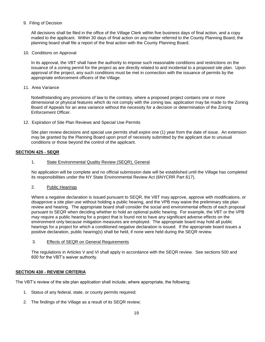9. Filing of Decision

All decisions shall be filed in the office of the Village Clerk within five business days of final action, and a copy mailed to the applicant. Within 30 days of final action on any matter referred to the County Planning Board, the planning board shall file a report of the final action with the County Planning Board.

10. Conditions on Approval

In its approval, the VBT shall have the authority to impose such reasonable conditions and restrictions on the issuance of a zoning permit for the project as are directly related to and incidental to a proposed site plan. Upon approval of the project, any such conditions must be met in connection with the issuance of permits by the appropriate enforcement officers of the Village.

11. Area Variance

Notwithstanding any provisions of law to the contrary, where a proposed project contains one or more dimensional or physical features which do not comply with the zoning law, application may be made to the Zoning Board of Appeals for an area variance without the necessity for a decision or determination of the Zoning Enforcement Officer.

12. Expiration of Site Plan Reviews and Special Use Permits

Site plan review decisions and special use permits shall expire one (1) year from the date of issue. An extension may be granted by the Planning Board upon proof of necessity submitted by the applicant due to unusual conditions or those beyond the control of the applicant.

# **SECTION 425 - SEQR**

#### 1. State Environmental Quality Review (SEQR), General

No application will be complete and no official submission date will be established until the Village has completed its responsibilities under the NY State Environmental Review Act (6NYCRR Part 617).

2. Public Hearings

Where a negative declaration is issued pursuant to SEQR, the VBT may approve, approve with modifications, or disapprove a site plan use without holding a public hearing, and the VPB may waive the preliminary site plan review and hearing. The appropriate board shall consider the social and environmental effects of each proposal pursuant to SEQR when deciding whether to hold an optional public hearing. For example, the VBT or the VPB may require a public hearing for a project that is found not to have any significant adverse effects on the environment only because mitigation measures are employed. The appropriate board may hold all public hearings for a project for which a conditioned negative declaration is issued. If the appropriate board issues a positive declaration, public hearing(s) shall be held, if none were held during the SEQR review.

3. Effects of SEQR on General Requirements

The regulations in Articles V and VI shall apply in accordance with the SEQR review. See sections 500 and 600 for the VBT's waiver authority.

#### **SECTION 430 - REVIEW CRITERIA**

The VBT's review of the site plan application shall include, where appropriate, the following;

- 1. Status of any federal, state, or county permits required;
- 2. The findings of the Village as a result of its SEQR review;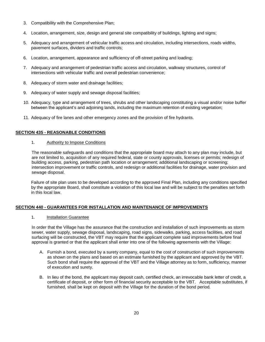- 3. Compatibility with the Comprehensive Plan;
- 4. Location, arrangement, size, design and general site compatibility of buildings, lighting and signs;
- 5. Adequacy and arrangement of vehicular traffic access and circulation, including intersections, roads widths, pavement surfaces, dividers and traffic controls;
- 6. Location, arrangement, appearance and sufficiency of off-street parking and loading;
- 7. Adequacy and arrangement of pedestrian traffic access and circulation, walkway structures, control of intersections with vehicular traffic and overall pedestrian convenience;
- 8. Adequacy of storm water and drainage facilities;
- 9. Adequacy of water supply and sewage disposal facilities;
- 10. Adequacy, type and arrangement of trees, shrubs and other landscaping constituting a visual and/or noise buffer between the applicant's and adjoining lands, including the maximum retention of existing vegetation;
- 11. Adequacy of fire lanes and other emergency zones and the provision of fire hydrants.

## **SECTION 435 - REASONABLE CONDITIONS**

1. Authority to Impose Conditions

The reasonable safeguards and conditions that the appropriate board may attach to any plan may include, but are not limited to, acquisition of any required federal, state or county approvals, licenses or permits; redesign of building access, parking, pedestrian path location or arrangement; additional landscaping or screening; intersection improvement or traffic controls, and redesign or additional facilities for drainage, water provision and sewage disposal.

Failure of site plan uses to be developed according to the approved Final Plan, including any conditions specified by the appropriate Board, shall constitute a violation of this local law and will be subject to the penalties set forth in this local law.

#### **SECTION 440 - GUARANTEES FOR INSTALLATION AND MAINTENANCE OF IMPROVEMENTS**

1. Installation Guarantee

In order that the Village has the assurance that the construction and installation of such improvements as storm sewer, water supply, sewage disposal, landscaping, road signs, sidewalks, parking, access facilities, and road surfacing will be constructed, the VBT may require that the applicant complete said improvements before final approval is granted or that the applicant shall enter into one of the following agreements with the Village:

- A. Furnish a bond, executed by a surety company, equal to the cost of construction of such improvements as shown on the plans and based on an estimate furnished by the applicant and approved by the VBT. Such bond shall require the approval of the VBT and the Village attorney as to form, sufficiency, manner of execution and surety.
- B. In lieu of the bond, the applicant may deposit cash, certified check, an irrevocable bank letter of credit, a certificate of deposit, or other form of financial security acceptable to the VBT. Acceptable substitutes, if furnished, shall be kept on deposit with the Village for the duration of the bond period.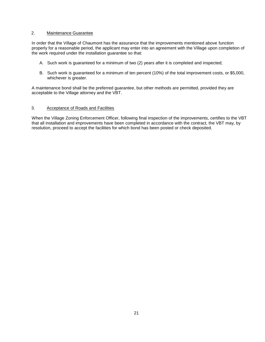#### 2. Maintenance Guarantee

In order that the Village of Chaumont has the assurance that the improvements mentioned above function properly for a reasonable period, the applicant may enter into an agreement with the Village upon completion of the work required under the installation guarantee so that:

- A. Such work is guaranteed for a minimum of two (2) years after it is completed and inspected;
- B. Such work is guaranteed for a minimum of ten percent (10%) of the total improvement costs, or \$5,000, whichever is greater.

A maintenance bond shall be the preferred guarantee, but other methods are permitted, provided they are acceptable to the Village attorney and the VBT.

## 3. Acceptance of Roads and Facilities

When the Village Zoning Enforcement Officer, following final inspection of the improvements, certifies to the VBT that all installation and improvements have been completed in accordance with the contract, the VBT may, by resolution, proceed to accept the facilities for which bond has been posted or check deposited.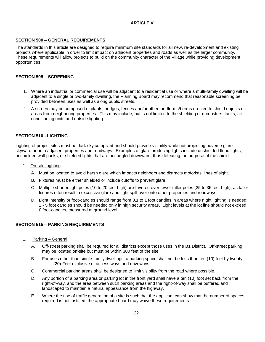# **ARTICLE V**

# **SECTION 500 – GENERAL REQUIREMENTS**

The standards in this article are designed to require minimum site standards for all new, re-development and existing projects where applicable in order to limit impact on adjacent properties and roads as well as the larger community. These requirements will allow projects to build on the community character of the Village while providing development opportunities.

#### **SECTION 505 – SCREENING**

- 1. Where an industrial or commercial use will be adjacent to a residential use or where a multi-family dwelling will be adjacent to a single or two-family dwelling, the Planning Board may recommend that reasonable screening be provided between uses as well as along public streets.
- 2. A screen may be composed of plants, hedges, fences and/or other landforms/berms erected to shield objects or areas from neighboring properties. This may include, but is not limited to the shielding of dumpsters, tanks, air conditioning units and outside lighting.

## **SECTION 510 - LIGHTING**

Lighting of project sites must be dark sky compliant and should provide visibility while not projecting adverse glare skyward or onto adjacent properties and roadways. Examples of glare producing lights include unshielded flood lights, unshielded wall packs, or shielded lights that are not angled downward, thus defeating the purpose of the shield.

- 1. On-site Lighting:
	- A. Must be located to avoid harsh glare which impacts neighbors and distracts motorists' lines of sight.
	- B. Fixtures must be either shielded or include cutoffs to prevent glare.
	- C. Multiple shorter light poles (10 to 20 feet high) are favored over fewer taller poles (25 to 35 feet high), as taller fixtures often result in excessive glare and light spill-over onto other properties and roadways.
	- D. Light intensity or foot-candles should range from 0.1 to 1 foot candles in areas where night lighting is needed; 2 - 5 foot candles should be needed only in high security areas. Light levels at the lot line should not exceed 0 foot-candles, measured at ground level.

#### **SECTION 515 – PARKING REQUIREMENTS**

- 1. Parking General
	- A. Off-street parking shall be required for all districts except those uses in the B1 District. Off-street parking may be located off-site but must be within 300 feet of the site.
	- B. For uses other than single family dwellings, a parking space shall not be less than ten (10) feet by twenty (20) Feet exclusive of access ways and driveways.
	- C. Commercial parking areas shall be designed to limit visibility from the road where possible.
	- D. Any portion of a parking area or parking lot in the front yard shall have a ten (10) foot set back from the right-of-way, and the area between such parking areas and the right-of-way shall be buffered and landscaped to maintain a natural appearance from the highway.
	- E. Where the use of traffic generation of a site is such that the applicant can show that the number of spaces required is not justified, the appropriate board may waive these requirements.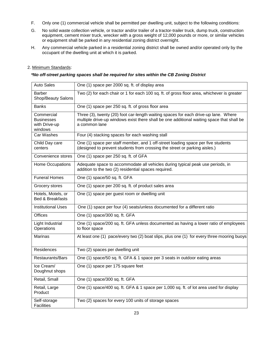- F. Only one (1) commercial vehicle shall be permitted per dwelling unit, subject to the following conditions:
- G. No solid waste collection vehicle, or tractor and/or trailer of a tractor-trailer truck, dump truck, construction equipment, cement mixer truck, wrecker with a gross weight of 12,000 pounds or more, or similar vehicles or equipment shall be parked in any residential zoning district overnight.
- H. Any commercial vehicle parked in a residential zoning district shall be owned and/or operated only by the occupant of the dwelling unit at which it is parked.

# 2. Minimum Standards:

# *\*No off-street parking spaces shall be required for sites within the CB Zoning District*

| <b>Auto Sales</b>                                           | One (1) space per 2000 sq. ft. of display area                                                                                                                                                    |
|-------------------------------------------------------------|---------------------------------------------------------------------------------------------------------------------------------------------------------------------------------------------------|
| <b>Barber</b><br>Shop/Beauty Salons                         | Two (2) for each chair or 1 for each 100 sq. ft. of gross floor area, whichever is greater                                                                                                        |
| <b>Banks</b>                                                | One (1) space per 250 sq. ft. of gross floor area                                                                                                                                                 |
| Commercial<br><b>Businesses</b><br>with Drive-up<br>windows | Three (3), twenty (20) foot car-length waiting spaces for each drive-up lane. Where<br>multiple drive-up windows exist there shall be one additional waiting space that shall be<br>a common lane |
| Car Washes                                                  | Four (4) stacking spaces for each washing stall                                                                                                                                                   |
| Child Day care<br>centers                                   | One (1) space per staff member, and 1 off-street loading space per five students<br>(designed to prevent students from crossing the street or parking aisles.)                                    |
| Convenience stores                                          | One (1) space per 250 sq. ft. of GFA                                                                                                                                                              |
| Home Occupations                                            | Adequate space to accommodate all vehicles during typical peak use periods, in<br>addition to the two (2) residential spaces required.                                                            |
| <b>Funeral Homes</b>                                        | One (1) space/50 sq. ft. GFA                                                                                                                                                                      |
| Grocery stores                                              | One (1) space per 200 sq. ft. of product sales area                                                                                                                                               |
| Hotels, Motels, or<br><b>Bed &amp; Breakfasts</b>           | One (1) space per guest room or dwelling unit                                                                                                                                                     |
| <b>Institutional Uses</b>                                   | One (1) space per four (4) seats/unless documented for a different ratio                                                                                                                          |
| <b>Offices</b>                                              | One (1) space/300 sq. ft. GFA                                                                                                                                                                     |
| Light Industrial<br>Operations                              | One (1) space/200 sq. ft. GFA unless documented as having a lower ratio of employees<br>to floor space                                                                                            |
| Marinas                                                     | At least one (1) pace/every two (2) boat slips, plus one (1) for every three mooring buoys                                                                                                        |
| Residences                                                  | Two (2) spaces per dwelling unit                                                                                                                                                                  |
| Restaurants/Bars                                            | One (1) space/50 sq. ft. GFA & 1 space per 3 seats in outdoor eating areas                                                                                                                        |
| Ice Cream/<br>Doughnut shops                                | One (1) space per 175 square feet                                                                                                                                                                 |
| Retail, Small                                               | One (1) space/300 sq. ft. GFA                                                                                                                                                                     |
| Retail, Large<br>Product                                    | One (1) space/400 sq. ft. GFA & 1 space per 1,000 sq. ft. of lot area used for display                                                                                                            |
| Self-storage<br><b>Facilities</b>                           | Two (2) spaces for every 100 units of storage spaces                                                                                                                                              |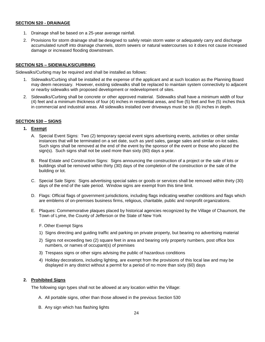## **SECTION 520 - DRAINAGE**

- 1. Drainage shall be based on a 25-year average rainfall.
- 2. Provisions for storm drainage shall be designed to safely retain storm water or adequately carry and discharge accumulated runoff into drainage channels, storm sewers or natural watercourses so it does not cause increased damage or increased flooding downstream.

#### **SECTION 525 – SIDEWALKS/CURBING**

Sidewalks/Curbing may be required and shall be installed as follows:

- 1. Sidewalks/Curbing shall be installed at the expense of the applicant and at such location as the Planning Board may deem necessary. However, existing sidewalks shall be replaced to maintain system connectivity to adjacent or nearby sidewalks with proposed development or redevelopment of sites.
- 2. Sidewalks/Curbing shall be concrete or other approved material. Sidewalks shall have a minimum width of four (4) feet and a minimum thickness of four (4) inches in residential areas, and five (5) feet and five (5) inches thick in commercial and industrial areas. All sidewalks installed over driveways must be six (6) inches in depth.

# **SECTION 530 – SIGNS**

## **1. Exempt**

- A. Special Event Signs: Two (2) temporary special event signs advertising events, activities or other similar instances that will be terminated on a set date, such as yard sales, garage sales and similar on-lot sales. Such signs shall be removed at the end of the event by the sponsor of the event or those who placed the sign(s). Such signs shall not be used more than sixty (60) days a year.
- B. Real Estate and Construction Signs: Signs announcing the construction of a project or the sale of lots or buildings shall be removed within thirty (30) days of the completion of the construction or the sale of the building or lot.
- C. Special Sale Signs: Signs advertising special sales or goods or services shall be removed within thirty (30) days of the end of the sale period. Window signs are exempt from this time limit.
- D. Flags: Official flags of government jurisdictions, including flags indicating weather conditions and flags which are emblems of on-premises business firms, religious, charitable, public and nonprofit organizations.
- E. Plaques: Commemorative plaques placed by historical agencies recognized by the Village of Chaumont, the Town of Lyme, the County of Jefferson or the State of New York
	- F. Other Exempt Signs
	- 1) Signs directing and guiding traffic and parking on private property, but bearing no advertising material
	- 2) Signs not exceeding two (2) square feet in area and bearing only property numbers, post office box numbers, or names of occupant(s) of premises
	- 3) Trespass signs or other signs advising the public of hazardous conditions
	- 4) Holiday decorations, including lighting, are exempt from the provisions of this local law and may be displayed in any district without a permit for a period of no more than sixty (60) days

# **2. Prohibited Signs**

The following sign types shall not be allowed at any location within the Village:

- A. All portable signs, other than those allowed in the previous Section 530
- B. Any sign which has flashing lights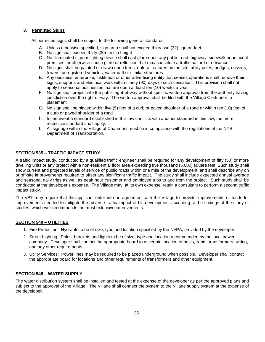# **3. Permitted Signs**

All permitted signs shall be subject to the following general standards:

- A. Unless otherwise specified, sign area shall not exceed thirty-two (32) square feet
- B. No sign shall exceed thirty (30) feet in height
- C. No illuminated sign or lighting device shall cast glare upon any public road, highway, sidewalk or adjacent premises, or otherwise cause glare or reflection that may constitute a traffic hazard or nuisance
- D. No signs shall be painted or drawn upon trees, natural features on the site, utility poles, bridges, culverts, towers, unregistered vehicles, watercraft or similar structures
- E. Any business, enterprise, institution or other advertising entity that ceases operations shall remove their signs, supports and electrical work within ninety (90) days of such cessation. This provision shall not apply to seasonal businesses that are open at least ten (10) weeks a year
- F. No sign shall project into the public right-of-way without specific written approval from the authority having jurisdiction over the right-of-way. The written approval shall be filed with the Village Clerk prior to placement
- G. No sign shall be placed within five (5) feet of a curb or paved shoulder of a road or within ten (10) feet of a curb or paved shoulder of a road.
- H. In the event a standard established in this law conflicts with another standard in this law, the more restrictive standard shall apply.
- I. All signage within the Village of Chaumont must be in compliance with the regulations of the NYS Department of Transportation.

# **SECTION 535 – TRAFFIC IMPACT STUDY**

A traffic impact study, conducted by a qualified traffic engineer shall be required for any development of fifty (50) or more dwelling units or any project with a non-residential floor area exceeding five thousand (5,000) square feet. Such study shall show current and projected levels of service of public roads within one mile of the development, and shall describe any on or off-site improvements required to offset any significant traffic impact. The study shall include expected annual average and seasonal daily trips as well as peak hour customer and employee trips to and from the project. Such study shall be conducted at the developer's expense. The Village may, at its own expense, retain a consultant to perform a second traffic impact study.

The VBT may require that the applicant enter into an agreement with the Village to provide improvements or funds for improvements needed to mitigate the adverse traffic impact of his development according to the findings of the study or studies, whichever recommends the most extensive improvements.

# **SECTION 540 – UTILITIES**

- 1. Fire Protection: Hydrants to be of size, type and location specified by the NFPA, provided by the developer.
- 2. Street Lighting: Poles, brackets and lights to be of size, type and location recommended by the local power company. Developer shall contact the appropriate board to ascertain location of poles, lights, transformers, wiring, and any other requirements.
- 3. Utility Services: Power lines may be required to be placed underground when possible. Developer shall contact the appropriate board for locations and other requirements of transformers and other equipment.

#### **SECTION 545 – WATER SUPPLY**

The water distribution system shall be installed and tested at the expense of the developer as per the approved plans and subject to the approval of the Village. The Village shall connect the system to the Village supply system at the expense of the developer.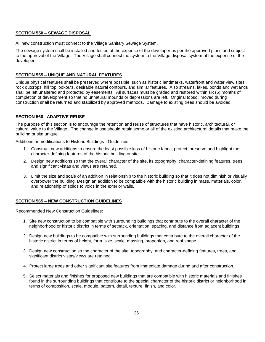#### **SECTION 550 – SEWAGE DISPOSAL**

All new construction must connect to the Village Sanitary Sewage System.

The sewage system shall be installed and tested at the expense of the developer as per the approved plans and subject to the approval of the Village. The Village shall connect the system to the Village disposal system at the expense of the developer.

# **SECTION 555 – UNIQUE AND NATURAL FEATURES**

Unique physical features shall be preserved where possible, such as historic landmarks, waterfront and water view sites, rock outcrops, hill top lookouts, desirable natural contours, and similar features. Also streams, lakes, ponds and wetlands shall be left unaltered and protected by easements. All surfaces must be graded and restored within six (6) months of completion of development so that no unnatural mounds or depressions are left. Original topsoil moved during construction shall be returned and stabilized by approved methods. Damage to existing trees should be avoided.

## **SECTION 560 –ADAPTIVE REUSE**

The purpose of this section is to encourage the retention and reuse of structures that have historic, architectural, or cultural value to the Village. The change in use should retain some or all of the existing architectural details that make the building or site unique.

Additions or modifications to Historic Buildings - Guidelines:

- 1. Construct new additions to ensure the least possible loss of historic fabric, protect, preserve and highlight the character-defining features of the historic building or site.
- 2. Design new additions so that the overall character of the site, its topography, character-defining features, trees, and significant vistas and views are retained.
- 3. Limit the size and scale of an addition in relationship to the historic building so that it does not diminish or visually overpower the building. Design an addition to be compatible with the historic building in mass, materials, color, and relationship of solids to voids in the exterior walls.

# **SECTION 565 – NEW CONSTRUCTION GUIDELINES**

Recommended New Construction Guidelines:

- 1. Site new construction to be compatible with surrounding buildings that contribute to the overall character of the neighborhood or historic district in terms of setback, orientation, spacing, and distance from adjacent buildings.
- 2. Design new buildings to be compatible with surrounding buildings that contribute to the overall character of the historic district in terms of height, form, size, scale, massing, proportion, and roof shape.
- 3. Design new construction so the character of the site, topography, and character-defining features, trees, and significant district vistas/views are retained.
- 4. Protect large trees and other significant site features from immediate damage during and after construction.
- 5. Select materials and finishes for proposed new buildings that are compatible with historic materials and finishes found in the surrounding buildings that contribute to the special character of the historic district or neighborhood in terms of composition, scale, module, pattern, detail, texture, finish, and color.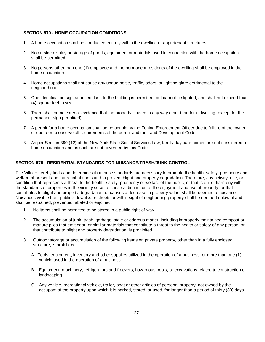#### **SECTION 570 - HOME OCCUPATION CONDITIONS**

- 1. A home occupation shall be conducted entirely within the dwelling or appurtenant structures.
- 2. No outside display or storage of goods, equipment or materials used in connection with the home occupation shall be permitted.
- 3. No persons other than one (1) employee and the permanent residents of the dwelling shall be employed in the home occupation.
- 4. Home occupations shall not cause any undue noise, traffic, odors, or lighting glare detrimental to the neighborhood.
- 5. One identification sign attached flush to the building is permitted, but cannot be lighted, and shall not exceed four (4) square feet in size.
- 6. There shall be no exterior evidence that the property is used in any way other than for a dwelling (except for the permanent sign permitted).
- 7. A permit for a home occupation shall be revocable by the Zoning Enforcement Officer due to failure of the owner or operator to observe all requirements of the permit and the Land Development Code.
- 8. As per Section 390 (12) of the New York State Social Services Law, family day care homes are not considered a home occupation and as such are not governed by this Code.

#### **SECTION 575 - RESIDENTIAL STANDARDS FOR NUISANCE/TRASH/JUNK CONTROL**

The Village hereby finds and determines that these standards are necessary to promote the health, safety, prosperity and welfare of present and future inhabitants and to prevent blight and property degradation. Therefore, any activity, use, or condition that represents a threat to the health, safety, prosperity or welfare of the public, or that is out of harmony with the standards of properties in the vicinity so as to cause a diminution of the enjoyment and use of property; or that contributes to blight and property degradation, or causes a decrease in property value, shall be deemed a nuisance. Nuisances visible from public sidewalks or streets or within sight of neighboring property shall be deemed unlawful and shall be restrained, prevented, abated or enjoined.

- 1. No items shall be permitted to be stored in a public right-of-way.
- 2. The accumulation of junk, trash, garbage, stale or odorous matter, including improperly maintained compost or manure piles that emit odor, or similar materials that constitute a threat to the health or safety of any person, or that contribute to blight and property degradation, is prohibited.
- 3. Outdoor storage or accumulation of the following items on private property, other than in a fully enclosed structure, is prohibited:
	- A. Tools, equipment, inventory and other supplies utilized in the operation of a business, or more than one (1) vehicle used in the operation of a business.
	- B. Equipment, machinery, refrigerators and freezers, hazardous pools, or excavations related to construction or landscaping.
	- C. Any vehicle, recreational vehicle, trailer, boat or other articles of personal property, not owned by the occupant of the property upon which it is parked, stored, or used, for longer than a period of thirty (30) days.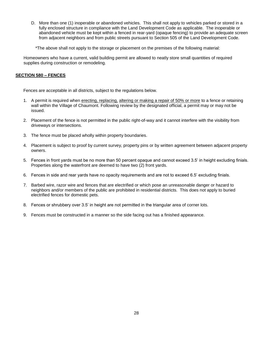D. More than one (1) inoperable or abandoned vehicles. This shall not apply to vehicles parked or stored in a fully enclosed structure in compliance with the Land Development Code as applicable. The inoperable or abandoned vehicle must be kept within a fenced in rear-yard (opaque fencing) to provide an adequate screen from adjacent neighbors and from public streets pursuant to Section 505 of the Land Development Code.

\*The above shall not apply to the storage or placement on the premises of the following material:

Homeowners who have a current, valid building permit are allowed to neatly store small quantities of required supplies during construction or remodeling.

#### **SECTION 580 – FENCES**

Fences are acceptable in all districts, subject to the regulations below.

- 1. A permit is required when erecting, replacing, altering or making a repair of 50% or more to a fence or retaining wall within the Village of Chaumont. Following review by the designated official, a permit may or may not be issued.
- 2. Placement of the fence is not permitted in the public right-of-way and it cannot interfere with the visibility from driveways or intersections.
- 3. The fence must be placed wholly within property boundaries.
- 4. Placement is subject to proof by current survey, property pins or by written agreement between adjacent property owners.
- 5. Fences in front yards must be no more than 50 percent opaque and cannot exceed 3.5' in height excluding finials. Properties along the waterfront are deemed to have two (2) front yards.
- 6. Fences in side and rear yards have no opacity requirements and are not to exceed 6.5' excluding finials.
- 7. Barbed wire, razor wire and fences that are electrified or which pose an unreasonable danger or hazard to neighbors and/or members of the public are prohibited in residential districts. This does not apply to buried electrified fences for domestic pets.
- 8. Fences or shrubbery over 3.5' in height are not permitted in the triangular area of corner lots.
- 9. Fences must be constructed in a manner so the side facing out has a finished appearance.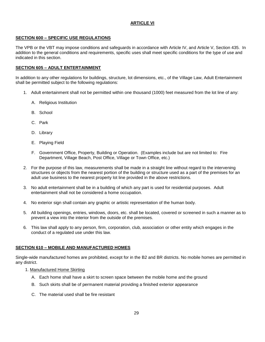# **ARTICLE VI**

# **SECTION 600 – SPECIFIC USE REGULATIONS**

The VPB or the VBT may impose conditions and safeguards in accordance with Article IV, and Article V, Section 435. In addition to the general conditions and requirements, specific uses shall meet specific conditions for the type of use and indicated in this section.

# **SECTION 605 – ADULT ENTERTAINMENT**

In addition to any other regulations for buildings, structure, lot dimensions, etc., of the Village Law, Adult Entertainment shall be permitted subject to the following regulations:

- 1. Adult entertainment shall not be permitted within one thousand (1000) feet measured from the lot line of any:
	- A. Religious Institution
	- B. School
	- C. Park
	- D. Library
	- E. Playing Field
	- F. Government Office, Property, Building or Operation. (Examples include but are not limited to: Fire Department, Village Beach, Post Office, Village or Town Office, etc.)
- 2. For the purpose of this law, measurements shall be made in a straight line without regard to the intervening structures or objects from the nearest portion of the building or structure used as a part of the premises for an adult use business to the nearest property lot line provided in the above restrictions.
- 3. No adult entertainment shall be in a building of which any part is used for residential purposes. Adult entertainment shall not be considered a home occupation.
- 4. No exterior sign shall contain any graphic or artistic representation of the human body.
- 5. All building openings, entries, windows, doors, etc. shall be located, covered or screened in such a manner as to prevent a view into the interior from the outside of the premises.
- 6. This law shall apply to any person, firm, corporation, club, association or other entity which engages in the conduct of a regulated use under this law.

# **SECTION 610 – MOBILE AND MANUFACTURED HOMES**

Single-wide manufactured homes are prohibited, except for in the B2 and BR districts. No mobile homes are permitted in any district.

- 1. Manufactured Home Skirting
	- A. Each home shall have a skirt to screen space between the mobile home and the ground
	- B. Such skirts shall be of permanent material providing a finished exterior appearance
	- C. The material used shall be fire resistant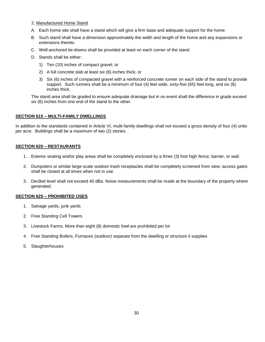#### 2. Manufactured Home Stand

- A. Each home site shall have a stand which will give a firm base and adequate support for the home
- B. Such stand shall have a dimension approximately the width and length of the home and any expansions or extensions thereto
- C. Well-anchored tie-downs shall be provided at least on each corner of the stand
- D. Stands shall be either:
	- 1) Ten (10) inches of compact gravel; or
	- 2) A full concrete slab at least six (6) inches thick; or
	- 3) Six (6) inches of compacted gravel with a reinforced concrete runner on each side of the stand to provide support. Such runners shall be a minimum of four (4) feet wide, sixty-five (65) feet long, and six (6) inches thick.

The stand area shall be graded to ensure adequate drainage but in no event shall the difference in grade exceed six (6) inches from one end of the stand to the other.

#### **SECTION 615 – MULTI-FAMILY DWELLINGS**

In addition to the standards contained in Article VI, multi-family dwellings shall not exceed a gross density of four (4) units per acre. Buildings shall be a maximum of two (2) stories.

#### **SECTION 620 – RESTAURANTS**

- 1. Exterior seating and/or play areas shall be completely enclosed by a three (3) foot high fence, barrier, or wall.
- 2. Dumpsters or similar large-scale outdoor trash receptacles shall be completely screened from view; access gates shall be closed at all times when not in use.
- 3. Decibel level shall not exceed 40 dBa. Noise measurements shall be made at the boundary of the property where generated.

#### **SECTION 625 – PROHIBITED USES**

- 1. Salvage yards, junk yards
- 2. Free Standing Cell Towers
- 3. Livestock Farms. More than eight (8) domestic fowl are prohibited per lot
- 4. Free Standing Boilers, Furnaces (outdoor) separate from the dwelling or structure it supplies
- 5. Slaughterhouses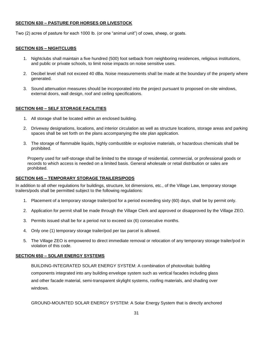# **SECTION 630 – PASTURE FOR HORSES OR LIVESTOCK**

Two (2) acres of pasture for each 1000 lb. (or one "animal unit") of cows, sheep, or goats.

#### **SECTION 635 – NIGHTCLUBS**

- 1. Nightclubs shall maintain a five hundred (500) foot setback from neighboring residences, religious institutions, and public or private schools, to limit noise impacts on noise sensitive uses.
- 2. Decibel level shall not exceed 40 dBa. Noise measurements shall be made at the boundary of the property where generated.
- 3. Sound attenuation measures should be incorporated into the project pursuant to proposed on-site windows, external doors, wall design, roof and ceiling specifications.

## **SECTION 640 – SELF STORAGE FACILITIES**

- 1. All storage shall be located within an enclosed building.
- 2. Driveway designations, locations, and interior circulation as well as structure locations, storage areas and parking spaces shall be set forth on the plans accompanying the site plan application.
- 3. The storage of flammable liquids, highly combustible or explosive materials, or hazardous chemicals shall be prohibited.

Property used for self-storage shall be limited to the storage of residential, commercial, or professional goods or records to which access is needed on a limited basis. General wholesale or retail distribution or sales are prohibited.

# **SECTION 645 – TEMPORARY STORAGE TRAILERS/PODS**

In addition to all other regulations for buildings, structure, lot dimensions, etc., of the Village Law, temporary storage trailers/pods shall be permitted subject to the following regulations:

- 1. Placement of a temporary storage trailer/pod for a period exceeding sixty (60) days, shall be by permit only.
- 2. Application for permit shall be made through the Village Clerk and approved or disapproved by the Village ZEO.
- 3. Permits issued shall be for a period not to exceed six (6) consecutive months.
- 4. Only one (1) temporary storage trailer/pod per tax parcel is allowed.
- 5. The Village ZEO is empowered to direct immediate removal or relocation of any temporary storage trailer/pod in violation of this code.

#### **SECTION 650 – SOLAR ENERGY SYSTEMS**

BUILDING-INTEGRATED SOLAR ENERGY SYSTEM: A combination of photovoltaic building components integrated into any building envelope system such as vertical facades including glass and other facade material, semi-transparent skylight systems, roofing materials, and shading over windows.

GROUND-MOUNTED SOLAR ENERGY SYSTEM: A Solar Energy System that is directly anchored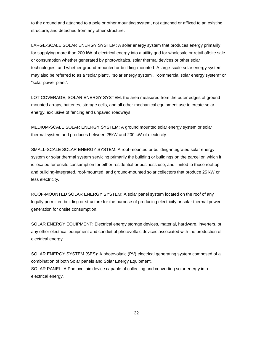to the ground and attached to a pole or other mounting system, not attached or affixed to an existing structure, and detached from any other structure.

LARGE-SCALE SOLAR ENERGY SYSTEM: A solar energy system that produces energy primarily for supplying more than 200 kW of electrical energy into a utility grid for wholesale or retail offsite sale or consumption whether generated by photovoltaics, solar thermal devices or other solar technologies, and whether ground-mounted or building-mounted. A large-scale solar energy system may also be referred to as a "solar plant", "solar energy system", "commercial solar energy system" or "solar power plant".

LOT COVERAGE, SOLAR ENERGY SYSTEM: the area measured from the outer edges of ground mounted arrays, batteries, storage cells, and all other mechanical equipment use to create solar energy, exclusive of fencing and unpaved roadways.

MEDIUM-SCALE SOLAR ENERGY SYSTEM: A ground mounted solar energy system or solar thermal system and produces between 25kW and 200 kW of electricity.

SMALL-SCALE SOLAR ENERGY SYSTEM: A roof-mounted or building-integrated solar energy system or solar thermal system servicing primarily the building or buildings on the parcel on which it is located for onsite consumption for either residential or business use, and limited to those rooftop and building-integrated, roof-mounted, and ground-mounted solar collectors that produce 25 kW or less electricity.

ROOF-MOUNTED SOLAR ENERGY SYSTEM: A solar panel system located on the roof of any legally permitted building or structure for the purpose of producing electricity or solar thermal power generation for onsite consumption.

SOLAR ENERGY EQUIPMENT: Electrical energy storage devices, material, hardware, inverters, or any other electrical equipment and conduit of photovoltaic devices associated with the production of electrical energy.

SOLAR ENERGY SYSTEM (SES): A photovoltaic (PV) electrical generating system composed of a combination of both Solar panels and Solar Energy Equipment. SOLAR PANEL: A Photovoltaic device capable of collecting and converting solar energy into electrical energy.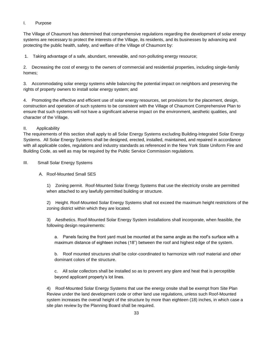# I. Purpose

The Village of Chaumont has determined that comprehensive regulations regarding the development of solar energy systems are necessary to protect the interests of the Village, its residents, and its businesses by advancing and protecting the public health, safety, and welfare of the Village of Chaumont by:

1. Taking advantage of a safe, abundant, renewable, and non-polluting energy resource;

2. Decreasing the cost of energy to the owners of commercial and residential properties, including single-family homes;

3. Accommodating solar energy systems while balancing the potential impact on neighbors and preserving the rights of property owners to install solar energy system; and

4. Promoting the effective and efficient use of solar energy resources, set provisions for the placement, design, construction and operation of such systems to be consistent with the Village of Chaumont Comprehensive Plan to ensure that such systems will not have a significant adverse impact on the environment, aesthetic qualities, and character of the Village.

# II. Applicability

The requirements of this section shall apply to all Solar Energy Systems excluding Building-Integrated Solar Energy Systems. All Solar Energy Systems shall be designed, erected, installed, maintained, and repaired in accordance with all applicable codes, regulations and industry standards as referenced in the New York State Uniform Fire and Building Code, as well as may be required by the Public Service Commission regulations.

# III. Small Solar Energy Systems

# A. Roof-Mounted Small SES

1) Zoning permit. Roof-Mounted Solar Energy Systems that use the electricity onsite are permitted when attached to any lawfully permitted building or structure.

2) Height. Roof-Mounted Solar Energy Systems shall not exceed the maximum height restrictions of the zoning district within which they are located.

3) Aesthetics. Roof-Mounted Solar Energy System installations shall incorporate, when feasible, the following design requirements:

a. Panels facing the front yard must be mounted at the same angle as the roof's surface with a maximum distance of eighteen inches (18") between the roof and highest edge of the system.

b. Roof mounted structures shall be color-coordinated to harmonize with roof material and other dominant colors of the structure.

c. All solar collectors shall be installed so as to prevent any glare and heat that is perceptible beyond applicant property's lot lines.

4) Roof-Mounted Solar Energy Systems that use the energy onsite shall be exempt from Site Plan Review under the land development code or other land use regulations, unless such Roof-Mounted system increases the overall height of the structure by more than eighteen (18) inches, in which case a site plan review by the Planning Board shall be required.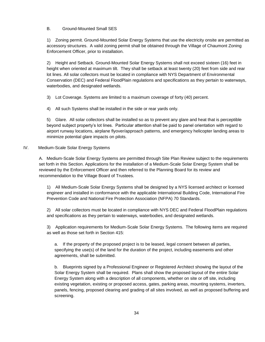# B. Ground-Mounted Small SES

1) Zoning permit. Ground-Mounted Solar Energy Systems that use the electricity onsite are permitted as accessory structures. A valid zoning permit shall be obtained through the Village of Chaumont Zoning Enforcement Officer, prior to installation.

2) Height and Setback. Ground-Mounted Solar Energy Systems shall not exceed sixteen (16) feet in height when oriented at maximum tilt. They shall be setback at least twenty (20) feet from side and rear lot lines. All solar collectors must be located in compliance with NYS Department of Environmental Conservation (DEC) and Federal FloodPlain regulations and specifications as they pertain to waterways, waterbodies, and designated wetlands.

3) Lot Coverage. Systems are limited to a maximum coverage of forty (40) percent.

4) All such Systems shall be installed in the side or rear yards only.

5) Glare. All solar collectors shall be installed so as to prevent any glare and heat that is perceptible beyond subject property's lot lines. Particular attention shall be paid to panel orientation with regard to airport runway locations, airplane flyover/approach patterns, and emergency helicopter landing areas to minimize potential glare impacts on pilots.

#### IV. Medium-Scale Solar Energy Systems

A. Medium-Scale Solar Energy Systems are permitted through Site Plan Review subject to the requirements set forth in this Section. Applications for the installation of a Medium-Scale Solar Energy System shall be reviewed by the Enforcement Officer and then referred to the Planning Board for its review and recommendation to the Village Board of Trustees.

1) All Medium-Scale Solar Energy Systems shall be designed by a NYS licensed architect or licensed engineer and installed in conformance with the applicable International Building Code, International Fire Prevention Code and National Fire Protection Association (NFPA) 70 Standards.

2) All solar collectors must be located in compliance with NYS DEC and Federal FloodPlain regulations and specifications as they pertain to waterways, waterbodies, and designated wetlands.

3) Application requirements for Medium-Scale Solar Energy Systems. The following items are required as well as those set forth in Section 415:

a. If the property of the proposed project is to be leased, legal consent between all parties, specifying the use(s) of the land for the duration of the project, including easements and other agreements, shall be submitted.

b. Blueprints signed by a Professional Engineer or Registered Architect showing the layout of the Solar Energy System shall be required. Plans shall show the proposed layout of the entire Solar Energy System along with a description of all components, whether on site or off site, including existing vegetation, existing or proposed access, gates, parking areas, mounting systems, inverters, panels, fencing, proposed clearing and grading of all sites involved, as well as proposed buffering and screening.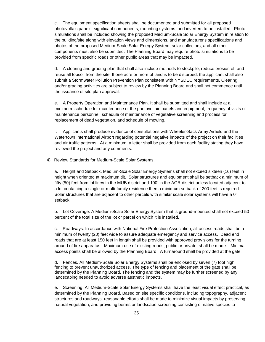c. The equipment specification sheets shall be documented and submitted for all proposed photovoltaic panels, significant components, mounting systems, and inverters to be installed. Photo simulations shall be included showing the proposed Medium-Scale Solar Energy System in relation to the building/site along with elevation views and dimensions, and manufacturer's specifications and photos of the proposed Medium-Scale Solar Energy System, solar collectors, and all other components must also be submitted. The Planning Board may require photo simulations to be provided from specific roads or other public areas that may be impacted.

d. A clearing and grading plan that shall also include methods to stockpile, reduce erosion of, and reuse all topsoil from the site. If one acre or more of land is to be disturbed, the applicant shall also submit a Stormwater Pollution Prevention Plan consistent with NYSDEC requirements. Clearing and/or grading activities are subject to review by the Planning Board and shall not commence until the issuance of site plan approval.

e. A Property Operation and Maintenance Plan. It shall be submitted and shall include at a minimum: schedule for maintenance of the photovoltaic panels and equipment, frequency of visits of maintenance personnel, schedule of maintenance of vegetative screening and process for replacement of dead vegetation, and schedule of mowing.

f. Applicants shall produce evidence of consultations with Wheeler-Sack Army Airfield and the Watertown International Airport regarding potential negative impacts of the project on their facilities and air traffic patterns. At a minimum, a letter shall be provided from each facility stating they have reviewed the project and any comments.

4) Review Standards for Medium-Scale Solar Systems.

a. Height and Setback. Medium-Scale Solar Energy Systems shall not exceed sixteen (16) feet in height when oriented at maximum tilt. Solar structures and equipment shall be setback a minimum of fifty (50) feet from lot lines in the MUB district and 100' in the AGR district unless located adjacent to a lot containing a single or multi-family residence then a minimum setback of 200 feet is required. Solar structures that are adjacent to other parcels with similar scale solar systems will have a 0' setback.

b. Lot Coverage. A Medium-Scale Solar Energy System that is ground-mounted shall not exceed 50 percent of the total size of the lot or parcel on which it is installed.

c. Roadways. In accordance with National Fire Protection Association, all access roads shall be a minimum of twenty (20) feet wide to assure adequate emergency and service access. Dead end roads that are at least 150 feet in length shall be provided with approved provisions for the turning around of fire apparatus. Maximum use of existing roads, public or private, shall be made. Minimal access points shall be allowed by the Planning Board. A turnaround shall be provided at the gate.

d. Fences. All Medium-Scale Solar Energy Systems shall be enclosed by seven (7) foot high fencing to prevent unauthorized access. The type of fencing and placement of the gate shall be determined by the Planning Board. The fencing and the system may be further screened by any landscaping needed to avoid adverse aesthetic impacts.

e. Screening. All Medium-Scale Solar Energy Systems shall have the least visual effect practical, as determined by the Planning Board. Based on site specific conditions, including topography, adjacent structures and roadways, reasonable efforts shall be made to minimize visual impacts by preserving natural vegetation, and providing berms or landscape screening consisting of native species to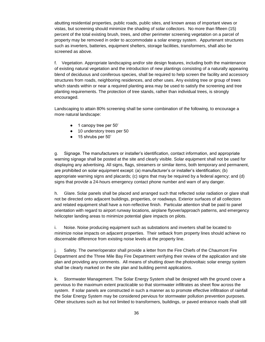abutting residential properties, public roads, public sites, and known areas of important views or vistas, but screening should minimize the shading of solar collectors. No more than fifteen (15) percent of the total existing brush, trees, and other perimeter screening vegetation on a parcel of property may be removed in order to accommodate a solar energy system. Appurtenant structures such as inverters, batteries, equipment shelters, storage facilities, transformers, shall also be screened as above.

f. Vegetation. Appropriate landscaping and/or site design features, including both the maintenance of existing natural vegetation and the introduction of new plantings consisting of a naturally appearing blend of deciduous and coniferous species, shall be required to help screen the facility and accessory structures from roads, neighboring residences, and other uses. Any existing tree or group of trees which stands within or near a required planting area may be used to satisfy the screening and tree planting requirements. The protection of tree stands, rather than individual trees, is strongly encouraged.

Landscaping to attain 80% screening shall be some combination of the following, to encourage a more natural landscape:

- 1 canopy tree per 50'
- 10 understory trees per 50
- 15 shrubs per 50'

g. Signage. The manufacturers or installer's identification, contact information, and appropriate warning signage shall be posted at the site and clearly visible. Solar equipment shall not be used for displaying any advertising. All signs, flags, streamers or similar items, both temporary and permanent, are prohibited on solar equipment except: (a) manufacturer's or installer's identification; (b) appropriate warning signs and placards; (c) signs that may be required by a federal agency; and (d) signs that provide a 24-hours emergency contact phone number and warn of any danger.

h. Glare. Solar panels shall be placed and arranged such that reflected solar radiation or glare shall not be directed onto adjacent buildings, properties, or roadways. Exterior surfaces of all collectors and related equipment shall have a non-reflective finish. Particular attention shall be paid to panel orientation with regard to airport runway locations, airplane flyover/approach patterns, and emergency helicopter landing areas to minimize potential glare impacts on pilots.

i. Noise. Noise producing equipment such as substations and inverters shall be located to minimize noise impacts on adjacent properties. Their setback from property lines should achieve no discernable difference from existing noise levels at the property line.

j. Safety. The owner/operator shall provide a letter from the Fire Chiefs of the Chaumont Fire Department and the Three Mile Bay Fire Department verifying their review of the application and site plan and providing any comments. All means of shutting down the photovoltaic solar energy system shall be clearly marked on the site plan and building permit applications.

k. Stormwater Management. The Solar Energy System shall be designed with the ground cover a pervious to the maximum extent practicable so that stormwater infiltrates as sheet flow across the system. If solar panels are constructed in such a manner as to promote effective infiltration of rainfall the Solar Energy System may be considered pervious for stormwater pollution prevention purposes. Other structures such as but not limited to transformers, buildings, or paved entrance roads shall still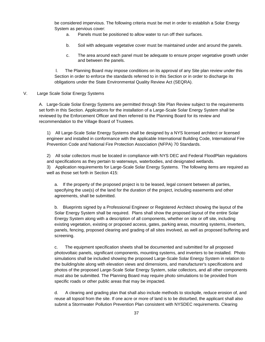be considered impervious. The following criteria must be met in order to establish a Solar Energy System as pervious cover:

- a. Panels must be positioned to allow water to run off their surfaces.
- b. Soil with adequate vegetative cover must be maintained under and around the panels.
- c. The area around each panel must be adequate to ensure proper vegetative growth under and between the panels.

l. The Planning Board may impose conditions on its approval of any Site plan review under this Section in order to enforce the standards referred to in this Section or in order to discharge its obligations under the State Environmental Quality Review Act (SEQRA).

V. Large Scale Solar Energy Systems

A. Large-Scale Solar Energy Systems are permitted through Site Plan Review subject to the requirements set forth in this Section. Applications for the installation of a Large-Scale Solar Energy System shall be reviewed by the Enforcement Officer and then referred to the Planning Board for its review and recommendation to the Village Board of Trustees.

1) All Large-Scale Solar Energy Systems shall be designed by a NYS licensed architect or licensed engineer and installed in conformance with the applicable International Building Code, International Fire Prevention Code and National Fire Protection Association (NFPA) 70 Standards.

2) All solar collectors must be located in compliance with NYS DEC and Federal FloodPlain regulations and specifications as they pertain to waterways, waterbodies, and designated wetlands.

3) Application requirements for Large-Scale Solar Energy Systems. The following items are required as well as those set forth in Section 415:

a. If the property of the proposed project is to be leased, legal consent between all parties, specifying the use(s) of the land for the duration of the project, including easements and other agreements, shall be submitted.

b. Blueprints signed by a Professional Engineer or Registered Architect showing the layout of the Solar Energy System shall be required. Plans shall show the proposed layout of the entire Solar Energy System along with a description of all components, whether on site or off site, including existing vegetation, existing or proposed access, gates, parking areas, mounting systems, inverters, panels, fencing, proposed clearing and grading of all sites involved, as well as proposed buffering and screening.

c. The equipment specification sheets shall be documented and submitted for all proposed photovoltaic panels, significant components, mounting systems, and inverters to be installed. Photo simulations shall be included showing the proposed Large-Scale Solar Energy System in relation to the building/site along with elevation views and dimensions, and manufacturer's specifications and photos of the proposed Large-Scale Solar Energy System, solar collectors, and all other components must also be submitted. The Planning Board may require photo simulations to be provided from specific roads or other public areas that may be impacted.

d. A clearing and grading plan that shall also include methods to stockpile, reduce erosion of, and reuse all topsoil from the site. If one acre or more of land is to be disturbed, the applicant shall also submit a Stormwater Pollution Prevention Plan consistent with NYSDEC requirements. Clearing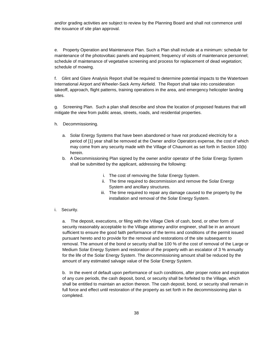and/or grading activities are subject to review by the Planning Board and shall not commence until the issuance of site plan approval.

e. Property Operation and Maintenance Plan. Such a Plan shall include at a minimum: schedule for maintenance of the photovoltaic panels and equipment; frequency of visits of maintenance personnel; schedule of maintenance of vegetative screening and process for replacement of dead vegetation; schedule of mowing.

f. Glint and Glare Analysis Report shall be required to determine potential impacts to the Watertown International Airport and Wheeler-Sack Army Airfield. The Report shall take into consideration takeoff, approach, flight patterns, training operations in the area, and emergency helicopter landing sites.

g. Screening Plan. Such a plan shall describe and show the location of proposed features that will mitigate the view from public areas, streets, roads, and residential properties.

- h. Decommissioning.
	- a. Solar Energy Systems that have been abandoned or have not produced electricity for a period of [1] year shall be removed at the Owner and/or Operators expense, the cost of which may come from any security made with the Village of Chaumont as set forth in Section 10(b) herein.
	- b. A Decommissioning Plan signed by the owner and/or operator of the Solar Energy System shall be submitted by the applicant, addressing the following:
		- i. The cost of removing the Solar Energy System.
		- ii. The time required to decommission and remove the Solar Energy System and ancillary structures.
		- iii. The time required to repair any damage caused to the property by the installation and removal of the Solar Energy System.
- i. Security.

a. The deposit, executions, or filing with the Village Clerk of cash, bond, or other form of security reasonably acceptable to the Village attorney and/or engineer, shall be in an amount sufficient to ensure the good faith performance of the terms and conditions of the permit issued pursuant hereto and to provide for the removal and restorations of the site subsequent to removal. The amount of the bond or security shall be 100 % of the cost of removal of the Large or Medium Solar Energy System and restoration of the property with an escalator of 3 % annually for the life of the Solar Energy System. The decommissioning amount shall be reduced by the amount of any estimated salvage value of the Solar Energy System.

b. In the event of default upon performance of such conditions, after proper notice and expiration of any cure periods, the cash deposit, bond, or security shall be forfeited to the Village, which shall be entitled to maintain an action thereon. The cash deposit, bond, or security shall remain in full force and effect until restoration of the property as set forth in the decommissioning plan is completed.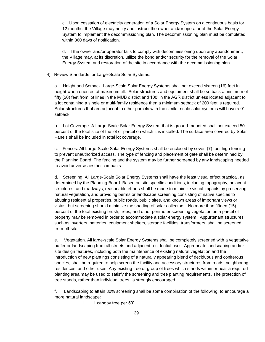c. Upon cessation of electricity generation of a Solar Energy System on a continuous basis for 12 months, the Village may notify and instruct the owner and/or operator of the Solar Energy System to implement the decommissioning plan. The decommissioning plan must be completed within 360 days of notification.

d. If the owner and/or operator fails to comply with decommissioning upon any abandonment, the Village may, at its discretion, utilize the bond and/or security for the removal of the Solar Energy System and restoration of the site in accordance with the decommissioning plan.

#### 4) Review Standards for Large-Scale Solar Systems.

a. Height and Setback. Large-Scale Solar Energy Systems shall not exceed sixteen (16) feet in height when oriented at maximum tilt. Solar structures and equipment shall be setback a minimum of fifty (50) feet from lot lines in the MUB district and 100' in the AGR district unless located adjacent to a lot containing a single or multi-family residence then a minimum setback of 200 feet is required. Solar structures that are adjacent to other parcels with the similar scale solar systems will have a 0' setback.

b. Lot Coverage. A Large-Scale Solar Energy System that is ground-mounted shall not exceed 50 percent of the total size of the lot or parcel on which it is installed. The surface area covered by Solar Panels shall be included in total lot coverage.

c. Fences. All Large-Scale Solar Energy Systems shall be enclosed by seven (7) foot high fencing to prevent unauthorized access. The type of fencing and placement of gate shall be determined by the Planning Board. The fencing and the system may be further screened by any landscaping needed to avoid adverse aesthetic impacts.

d. Screening. All Large-Scale Solar Energy Systems shall have the least visual effect practical, as determined by the Planning Board. Based on site specific conditions, including topography, adjacent structures, and roadways, reasonable efforts shall be made to minimize visual impacts by preserving natural vegetation, and providing berms or landscape screening consisting of native species to abutting residential properties, public roads, public sites, and known areas of important views or vistas, but screening should minimize the shading of solar collectors. No more than fifteen (15) percent of the total existing brush, trees, and other perimeter screening vegetation on a parcel of property may be removed in order to accommodate a solar energy system. Appurtenant structures such as inverters, batteries, equipment shelters, storage facilities, transformers, shall be screened from off-site.

e. Vegetation. All large-scale Solar Energy Systems shall be completely screened with a vegetative buffer or landscaping from all streets and adjacent residential uses. Appropriate landscaping and/or site design features, including both the maintenance of existing natural vegetation and the introduction of new plantings consisting of a naturally appearing blend of deciduous and coniferous species, shall be required to help screen the facility and accessory structures from roads, neighboring residences, and other uses. Any existing tree or group of trees which stands within or near a required planting area may be used to satisfy the screening and tree planting requirements. The protection of tree stands, rather than individual trees, is strongly encouraged.

f. Landscaping to attain 80% screening shall be some combination of the following, to encourage a more natural landscape:

i. 1 canopy tree per 50'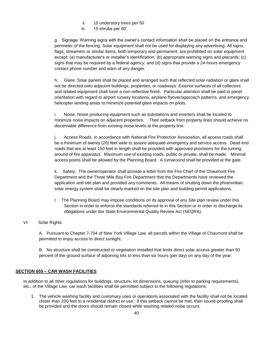- ii. 10 understory trees per 50
- iii. 15 shrubs per 50'

g. Signage. Warning signs with the owner's contact information shall be placed on the entrance and perimeter of the fencing. Solar equipment shall not be used for displaying any advertising. All signs, flags, streamers or similar items, both temporary and permanent, are prohibited on solar equipment except: (a) manufacturer's or installer's identification; (b) appropriate warning signs and placards; (c) signs that may be required by a federal agency; and (d) signs that provide a 24-hours emergency contact phone number and warn of any danger.

h. Glare. Solar panels shall be placed and arranged such that reflected solar radiation or glare shall not be directed onto adjacent buildings, properties, or roadways. Exterior surfaces of all collectors and related equipment shall have a non-reflective finish. Particular attention shall be paid to panel orientation with regard to airport runway locations, airplane flyover/approach patterns, and emergency helicopter landing areas to minimize potential glare impacts on pilots.

i. Noise. Noise producing equipment such as substations and inverters shall be located to minimize noise impacts on adjacent properties. Their setback from property lines should achieve no discernable difference from existing noise levels at the property line.

j. Access Roads. In accordance with National Fire Protection Association, all access roads shall be a minimum of twenty (20) feet wide to assure adequate emergency and service access. Dead end roads that are at least 150 feet in length shall be provided with approved provisions for the turning around of fire apparatus. Maximum use of existing roads, public or private, shall be made. Minimal access points shall be allowed by the Planning Board. A turnaround shall be provided at the gate.

k. Safety. The owner/operator shall provide a letter from the Fire Chief of the Chaumont Fire Department and the Three Mile Bay Fire Department that the Departments have reviewed the application and site plan and provided any comments. All means of shutting down the photovoltaic solar energy system shall be clearly marked on the site plan and building permit applications.

l. The Planning Board may impose conditions on its approval of any Site plan review under this Section in order to enforce the standards referred to in this Section or in order to discharge its obligations under the State Environmental Quality Review Act (SEQRA).

# VI. Solar Rights

A. Pursuant to Chapter 7-704 of New York Village Law, all parcels within the Village of Chaumont shall be permitted to enjoy access to direct sunlight.

B. No structure shall be constructed or vegetation installed that limits direct solar access greater than 50 percent of the ground surface of adjoining lots to less than six hours (per day) on any day of the year.

# **SECTION 655 – CAR WASH FACILITIES**

In addition to all other regulations for buildings, structure, lot dimensions, queuing (refer to parking requirements), etc., of the Village Law, car wash facilities shall be permitted subject to the following regulations:

1. The vehicle washing facility and customary uses or operations associated with the facility shall not be located closer than 200 feet to a residential district or use. If this setback cannot be met, then sound-proofing shall be provided and the doors should remain closed while washing related noise occurs.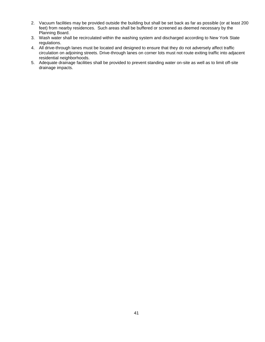- 2. Vacuum facilities may be provided outside the building but shall be set back as far as possible (or at least 200 feet) from nearby residences. Such areas shall be buffered or screened as deemed necessary by the Planning Board.
- 3. Wash water shall be recirculated within the washing system and discharged according to New York State regulations.
- 4. All drive-through lanes must be located and designed to ensure that they do not adversely affect traffic circulation on adjoining streets. Drive-through lanes on corner lots must not route exiting traffic into adjacent residential neighborhoods.
- 5. Adequate drainage facilities shall be provided to prevent standing water on-site as well as to limit off-site drainage impacts.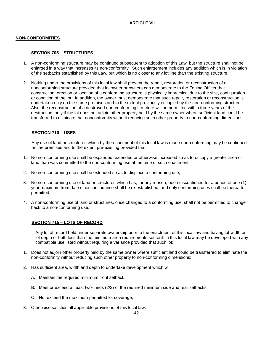# **ARTICLE VII**

#### **NON-CONFORMITIES**

#### **SECTION 705 – STRUCTURES**

- 1. A non-conforming structure may be continued subsequent to adoption of this Law, but the structure shall not be enlarged in a way that increases its non-conformity. Such enlargement includes any addition which is in violation of the setbacks established by this Law, but which is no closer to any lot line than the existing structure.
- 2. Nothing under the provisions of this local law shall prevent the repair, restoration or reconstruction of a nonconforming structure provided that its owner or owners can demonstrate to the Zoning Officer that construction, erection or location of a conforming structure is physically impractical due to the size, configuration or condition of the lot. In addition, the owner must demonstrate that such repair, restoration or reconstruction is undertaken only on the same premises and to the extent previously occupied by the non-conforming structure. Also, the reconstruction of a destroyed non-conforming structure will be permitted within three years of the destruction, only if the lot does not adjoin other property held by the same owner where sufficient land could be transferred to eliminate that nonconformity without reducing such other property to non-conforming dimensions.

## **SECTION 710 – USES**

Any use of land or structures which by the enactment of this local law is made non-conforming may be continued on the premises and to the extent pre-existing provided that:

- 1. No non-conforming use shall be expanded, extended or otherwise increased so as to occupy a greater area of land than was committed to the non-conforming use at the time of such enactment;
- 2. No non-conforming use shall be extended so as to displace a conforming use;
- 3. No non-conforming use of land or structures which has, for any reason, been discontinued for a period of one (1) year maximum from date of discontinuance shall be re-established, and only conforming uses shall be thereafter permitted;
- 4. A non-conforming use of land or structures, once changed to a conforming use, shall not be permitted to change back to a non-conforming use.

#### **SECTION 715 – LOTS OF RECORD**

Any lot of record held under separate ownership prior to the enactment of this local law and having lot width or lot depth or both less than the minimum area requirements set forth in this local law may be developed with any compatible use listed without requiring a variance provided that such lot:

- 1. Does not adjoin other property held by the same owner where sufficient land could be transferred to eliminate the non-conformity without reducing such other property to non-conforming dimensions;
- 2. Has sufficient area, width and depth to undertake development which will:
	- A. Maintain the required minimum front setback,
	- B. Meet or exceed at least two-thirds (2/3) of the required minimum side and rear setbacks,
	- C. Not exceed the maximum permitted lot coverage;
- 3. Otherwise satisfies all applicable provisions of this local law.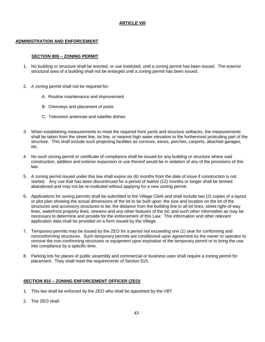# **ARTICLE VIII**

# **ADMINISTRATION AND ENFORCEMENT**

# **SECTION 805 – ZONING PERMIT**

- 1. No building or structure shall be erected, or use instituted, until a zoning permit has been issued. The exterior structural area of a building shall not be enlarged until a zoning permit has been issued.
- 2. A zoning permit shall not be required for:
	- A. Routine maintenance and improvement
	- B. Chimneys and placement of posts
	- C. Television antennae and satellite dishes
- 3. When establishing measurements to meet the required front yards and structure setbacks, the measurements shall be taken from the street line, lot line, or nearest high water elevation to the furthermost protruding part of the structure. This shall include such projecting facilities as cornices, eaves, porches, carports, attached garages, etc.
- 4. No such zoning permit or certificate of compliance shall be issued for any building or structure where said construction, addition and exterior expansion or use thereof would be in violation of any of the provisions of this law.
- 5. A zoning permit issued under this law shall expire six (6) months from the date of issue if construction is not started. Any use that has been discontinued for a period of twelve (12) months or longer shall be termed abandoned and may not be re-instituted without applying for a new zoning permit.
- 6. Applications for zoning permits shall be submitted to the Village Clerk and shall include two (2) copies of a layout or plot plan showing the actual dimensions of the lot to be built upon; the size and location on the lot of the structures and accessory structures to be; the distance from the building line to all lot lines, street right-of-way lines, waterfront property lines, streams and any other features of the lot; and such other information as may be necessary to determine and provide for the enforcement of this Law. This information and other relevant application data shall be provided on a form issued by the Village.
- 7. Temporary permits may be issued by the ZEO for a period not exceeding one (1) year for conforming and nonconforming structures. Such temporary permits are conditioned upon agreement by the owner or operator to remove the non-conforming structures or equipment upon expiration of the temporary permit or to bring the use into compliance by a specific time.
- 8. Parking lots for places of public assembly and commercial or business uses shall require a zoning permit for placement. They shall meet the requirements of Section 515.

# **SECTION 810 – ZONING ENFORCEMENT OFFICER (ZEO)**

- 1. This law shall be enforced by the ZEO who shall be appointed by the VBT.
- 2. The ZEO shall: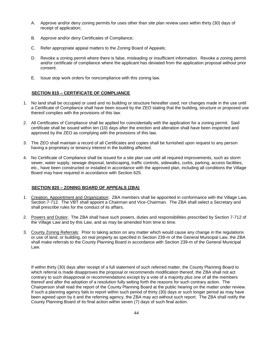- A. Approve and/or deny zoning permits for uses other than site plan review uses within thirty (30) days of receipt of application;
- B. Approve and/or deny Certificates of Compliance;
- C. Refer appropriate appeal matters to the Zoning Board of Appeals;
- D. Revoke a zoning permit where there is false, misleading or insufficient information. Revoke a zoning permit and/or certificate of compliance where the applicant has deviated from the application proposal without prior consent.
- E. Issue stop work orders for noncompliance with this zoning law.

#### **SECTION 815 – CERTIFICATE OF COMPLIANCE**

- 1. No land shall be occupied or used and no building or structure hereafter used, nor changes made in the use until a Certificate of Compliance shall have been issued by the ZEO stating that the building, structure or proposed use thereof complies with the provisions of this law.
- 2. All Certificates of Compliance shall be applied for coincidentally with the application for a zoning permit. Said certificate shall be issued within ten (10) days after the erection and alteration shall have been inspected and approved by the ZEO as complying with the provisions of this law.
- 3. The ZEO shall maintain a record of all Certificates and copies shall be furnished upon request to any person having a proprietary or tenancy interest in the building affected.
- 4. No Certificate of Compliance shall be issued for a site plan use until all required improvements, such as storm sewer, water supply, sewage disposal, landscaping, traffic controls, sidewalks, curbs, parking, access facilities, etc., have been constructed or installed in accordance with the approved plan, including all conditions the Village Board may have required in accordance with Section 625.

#### **SECTION 820 – ZONING BOARD OF APPEALS (ZBA)**

- 1. Creation, Appointment and Organization: ZBA members shall be appointed in conformance with the Village Law, Section 7-712. The VBT shall appoint a Chairman and Vice-Chairman. The ZBA shall select a Secretary and shall prescribe rules for the conduct of its affairs.
- 2. Powers and Duties: The ZBA shall have such powers, duties and responsibilities prescribed by Section 7-712 of the Village Law and by this Law, and as may be amended from time to time.
- 3. County Zoning Referrals: Prior to taking action on any matter which would cause any change in the regulations or use of land, or building, on real property as specified in Section 239-m of the General Municipal Law, the ZBA shall make referrals to the County Planning Board in accordance with Section 239-m of the General Municipal Law.

If within thirty (30) days after receipt of a full statement of such referred matter, the County Planning Board to which referral is made disapproves the proposal or recommends modification thereof, the ZBA shall not act contrary to such disapproval or recommendations except by a vote of a majority plus one of all the members thereof and after the adoption of a resolution fully setting forth the reasons for such contrary action. The Chairperson shall read the report of the County Planning Board at the public hearing on the matter under review. If such a planning agency fails to report within such period of thirty (30) days or such longer period as may have been agreed upon by it and the referring agency, the ZBA may act without such report. The ZBA shall notify the County Planning Board of its final action within seven (7) days of such final action.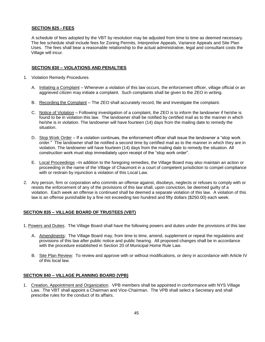#### **SECTION 825 - FEES**

A schedule of fees adopted by the VBT by resolution may be adjusted from time to time as deemed necessary. The fee schedule shall include fees for Zoning Permits, Interpretive Appeals, Variance Appeals and Site Plan Uses. The fees shall bear a reasonable relationship to the actual administrative, legal and consultant costs the Village will incur.

#### **SECTION 830 – VIOLATIONS AND PENALTIES**

- 1. Violation Remedy Procedures
	- A. Initiating a Complaint Whenever a violation of this law occurs, the enforcement officer, village official or an aggrieved citizen may initiate a complaint. Such complaints shall be given to the ZEO in writing.
	- B. Recording the Complaint The ZEO shall accurately record, file and investigate the complaint.
	- C. Notice of Violation Following investigation of a complaint, the ZEO is to inform the landowner if he/she is found to be in violation this law. The landowner shall be notified by certified mail as to the manner in which he/she is in violation. The landowner will have fourteen (14) days from the mailing date to remedy the situation.
	- D. Stop Work Order If a violation continues, the enforcement officer shall issue the landowner a "stop work order." The landowner shall be notified a second time by certified mail as to the manner in which they are in violation. The landowner will have fourteen (14) days from the mailing date to remedy the situation. All construction work must stop immediately upon receipt of the "stop work order".
	- E. Local Proceedings –In addition to the foregoing remedies, the Village Board may also maintain an action or proceeding in the name of the Village of Chaumont in a court of competent jurisdiction to compel compliance with or restrain by injunction a violation of this Local Law.
- 2. Any person, firm or corporation who commits an offense against, disobeys, neglects or refuses to comply with or resists the enforcement of any of the provisions of this law shall, upon conviction, be deemed guilty of a violation. Each week an offense is continued shall be deemed a separate violation of this law. A violation of this law is an offense punishable by a fine not exceeding two hundred and fifty dollars (\$250.00) each week.

# **SECTION 835 – VILLAGE BOARD OF TRUSTEES (VBT)**

- 1. Powers and Duties. The Village Board shall have the following powers and duties under the provisions of this law:
	- A. Amendments: The Village Board may, from time to time, amend, supplement or repeal the regulations and provisions of this law after public notice and public hearing. All proposed changes shall be in accordance with the procedure established in Section 20 of Municipal Home Rule Law.
	- B. Site Plan Review: To review and approve with or without modifications, or deny in accordance with Article IV of this local law.

#### **SECTION 840 – VILLAGE PLANNING BOARD (VPB)**

1. Creation, Appointment and Organization. VPB members shall be appointed in conformance with NYS Village Law. The VBT shall appoint a Chairman and Vice-Chairman. The VPB shall select a Secretary and shall prescribe rules for the conduct of its affairs.